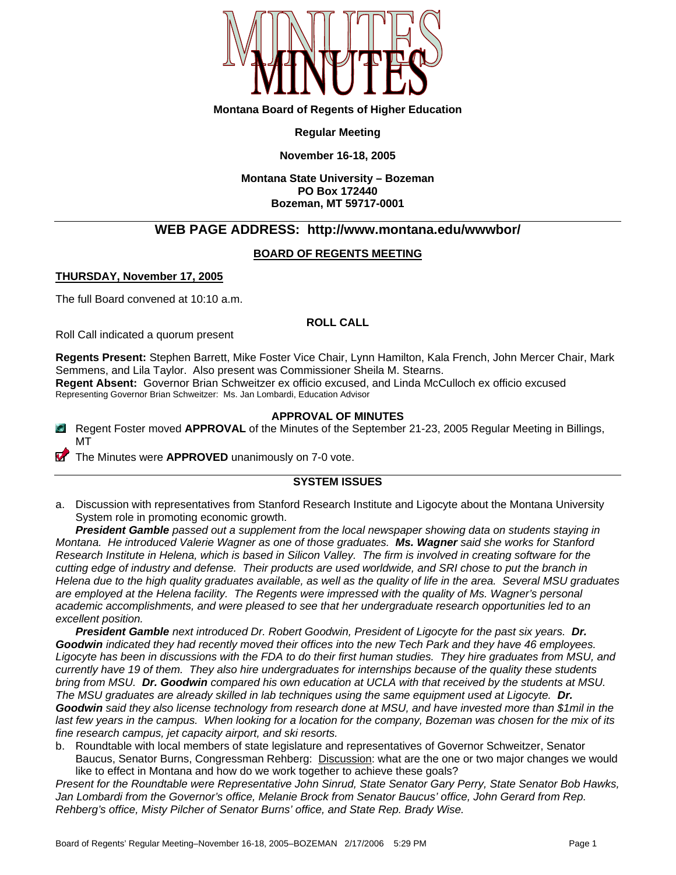

#### **Montana Board of Regents of Higher Education**

#### **Regular Meeting**

#### **November 16-18, 2005**

#### **Montana State University – Bozeman PO Box 172440 Bozeman, MT 59717-0001**

# **WEB PAGE ADDRESS: http://www.montana.edu/wwwbor/**

#### **BOARD OF REGENTS MEETING**

#### **THURSDAY, November 17, 2005**

The full Board convened at 10:10 a.m.

#### **ROLL CALL**

Roll Call indicated a quorum present

**Regents Present:** Stephen Barrett, Mike Foster Vice Chair, Lynn Hamilton, Kala French, John Mercer Chair, Mark Semmens, and Lila Taylor. Also present was Commissioner Sheila M. Stearns. **Regent Absent:** Governor Brian Schweitzer ex officio excused, and Linda McCulloch ex officio excused Representing Governor Brian Schweitzer: Ms. Jan Lombardi, Education Advisor

#### **APPROVAL OF MINUTES**

- Regent Foster moved **APPROVAL** of the Minutes of the September 21-23, 2005 Regular Meeting in Billings, MT
- The Minutes were **APPROVED** unanimously on 7-0 vote.

## **SYSTEM ISSUES**

a. Discussion with representatives from Stanford Research Institute and Ligocyte about the Montana University System role in promoting economic growth.

*President Gamble passed out a supplement from the local newspaper showing data on students staying in Montana. He introduced Valerie Wagner as one of those graduates. Ms. Wagner said she works for Stanford Research Institute in Helena, which is based in Silicon Valley. The firm is involved in creating software for the cutting edge of industry and defense. Their products are used worldwide, and SRI chose to put the branch in Helena due to the high quality graduates available, as well as the quality of life in the area. Several MSU graduates are employed at the Helena facility. The Regents were impressed with the quality of Ms. Wagner's personal academic accomplishments, and were pleased to see that her undergraduate research opportunities led to an excellent position.* 

*President Gamble next introduced Dr. Robert Goodwin, President of Ligocyte for the past six years. Dr. Goodwin indicated they had recently moved their offices into the new Tech Park and they have 46 employees.*  Ligocyte has been in discussions with the FDA to do their first human studies. They hire graduates from MSU, and *currently have 19 of them. They also hire undergraduates for internships because of the quality these students bring from MSU. Dr. Goodwin compared his own education at UCLA with that received by the students at MSU. The MSU graduates are already skilled in lab techniques using the same equipment used at Ligocyte. Dr. Goodwin said they also license technology from research done at MSU, and have invested more than \$1mil in the last few years in the campus. When looking for a location for the company, Bozeman was chosen for the mix of its fine research campus, jet capacity airport, and ski resorts.*

b. Roundtable with local members of state legislature and representatives of Governor Schweitzer, Senator Baucus, Senator Burns, Congressman Rehberg: Discussion: what are the one or two major changes we would like to effect in Montana and how do we work together to achieve these goals?

*Present for the Roundtable were Representative John Sinrud, State Senator Gary Perry, State Senator Bob Hawks, Jan Lombardi from the Governor's office, Melanie Brock from Senator Baucus' office, John Gerard from Rep. Rehberg's office, Misty Pilcher of Senator Burns' office, and State Rep. Brady Wise.*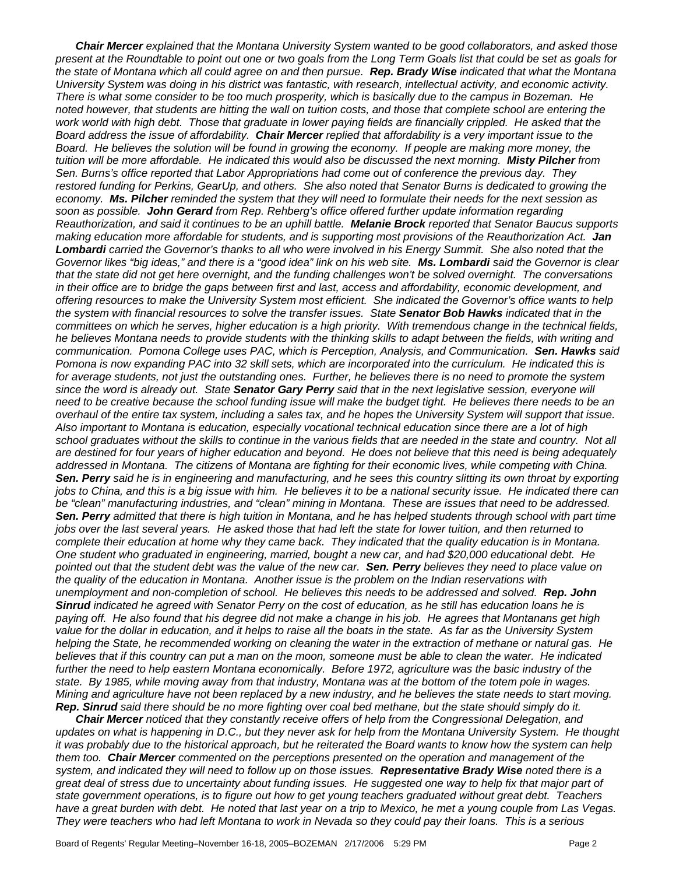*Chair Mercer explained that the Montana University System wanted to be good collaborators, and asked those present at the Roundtable to point out one or two goals from the Long Term Goals list that could be set as goals for the state of Montana which all could agree on and then pursue. Rep. Brady Wise indicated that what the Montana University System was doing in his district was fantastic, with research, intellectual activity, and economic activity. There is what some consider to be too much prosperity, which is basically due to the campus in Bozeman. He*  noted however, that students are hitting the wall on tuition costs, and those that complete school are entering the work world with high debt. Those that graduate in lower paying fields are financially crippled. He asked that the *Board address the issue of affordability. Chair Mercer replied that affordability is a very important issue to the Board. He believes the solution will be found in growing the economy. If people are making more money, the tuition will be more affordable. He indicated this would also be discussed the next morning. Misty Pilcher from Sen. Burns's office reported that Labor Appropriations had come out of conference the previous day. They restored funding for Perkins, GearUp, and others. She also noted that Senator Burns is dedicated to growing the economy. Ms. Pilcher reminded the system that they will need to formulate their needs for the next session as soon as possible. John Gerard from Rep. Rehberg's office offered further update information regarding Reauthorization, and said it continues to be an uphill battle. Melanie Brock reported that Senator Baucus supports making education more affordable for students, and is supporting most provisions of the Reauthorization Act. Jan Lombardi carried the Governor's thanks to all who were involved in his Energy Summit. She also noted that the Governor likes "big ideas," and there is a "good idea" link on his web site. Ms. Lombardi said the Governor is clear that the state did not get here overnight, and the funding challenges won't be solved overnight. The conversations in their office are to bridge the gaps between first and last, access and affordability, economic development, and offering resources to make the University System most efficient. She indicated the Governor's office wants to help the system with financial resources to solve the transfer issues. State Senator Bob Hawks indicated that in the committees on which he serves, higher education is a high priority. With tremendous change in the technical fields, he believes Montana needs to provide students with the thinking skills to adapt between the fields, with writing and communication. Pomona College uses PAC, which is Perception, Analysis, and Communication. Sen. Hawks said Pomona is now expanding PAC into 32 skill sets, which are incorporated into the curriculum. He indicated this is*  for average students, not just the outstanding ones. Further, he believes there is no need to promote the system *since the word is already out. State Senator Gary Perry said that in the next legislative session, everyone will need to be creative because the school funding issue will make the budget tight. He believes there needs to be an overhaul of the entire tax system, including a sales tax, and he hopes the University System will support that issue. Also important to Montana is education, especially vocational technical education since there are a lot of high*  school graduates without the skills to continue in the various fields that are needed in the state and country. Not all *are destined for four years of higher education and beyond. He does not believe that this need is being adequately addressed in Montana. The citizens of Montana are fighting for their economic lives, while competing with China. Sen. Perry said he is in engineering and manufacturing, and he sees this country slitting its own throat by exporting jobs to China, and this is a big issue with him. He believes it to be a national security issue. He indicated there can*  be "clean" manufacturing industries, and "clean" mining in Montana. These are issues that need to be addressed. *Sen. Perry admitted that there is high tuition in Montana, and he has helped students through school with part time jobs over the last several years. He asked those that had left the state for lower tuition, and then returned to complete their education at home why they came back. They indicated that the quality education is in Montana. One student who graduated in engineering, married, bought a new car, and had \$20,000 educational debt. He pointed out that the student debt was the value of the new car. Sen. Perry believes they need to place value on the quality of the education in Montana. Another issue is the problem on the Indian reservations with unemployment and non-completion of school. He believes this needs to be addressed and solved. Rep. John Sinrud indicated he agreed with Senator Perry on the cost of education, as he still has education loans he is paying off. He also found that his degree did not make a change in his job. He agrees that Montanans get high*  value for the dollar in education, and it helps to raise all the boats in the state. As far as the University System *helping the State, he recommended working on cleaning the water in the extraction of methane or natural gas. He believes that if this country can put a man on the moon, someone must be able to clean the water. He indicated*  further the need to help eastern Montana economically. Before 1972, agriculture was the basic industry of the *state. By 1985, while moving away from that industry, Montana was at the bottom of the totem pole in wages. Mining and agriculture have not been replaced by a new industry, and he believes the state needs to start moving. Rep. Sinrud said there should be no more fighting over coal bed methane, but the state should simply do it.* 

*Chair Mercer noticed that they constantly receive offers of help from the Congressional Delegation, and updates on what is happening in D.C., but they never ask for help from the Montana University System. He thought it was probably due to the historical approach, but he reiterated the Board wants to know how the system can help them too. Chair Mercer commented on the perceptions presented on the operation and management of the system, and indicated they will need to follow up on those issues. Representative Brady Wise noted there is a great deal of stress due to uncertainty about funding issues. He suggested one way to help fix that major part of state government operations, is to figure out how to get young teachers graduated without great debt. Teachers*  have a great burden with debt. He noted that last year on a trip to Mexico, he met a young couple from Las Vegas. *They were teachers who had left Montana to work in Nevada so they could pay their loans. This is a serious*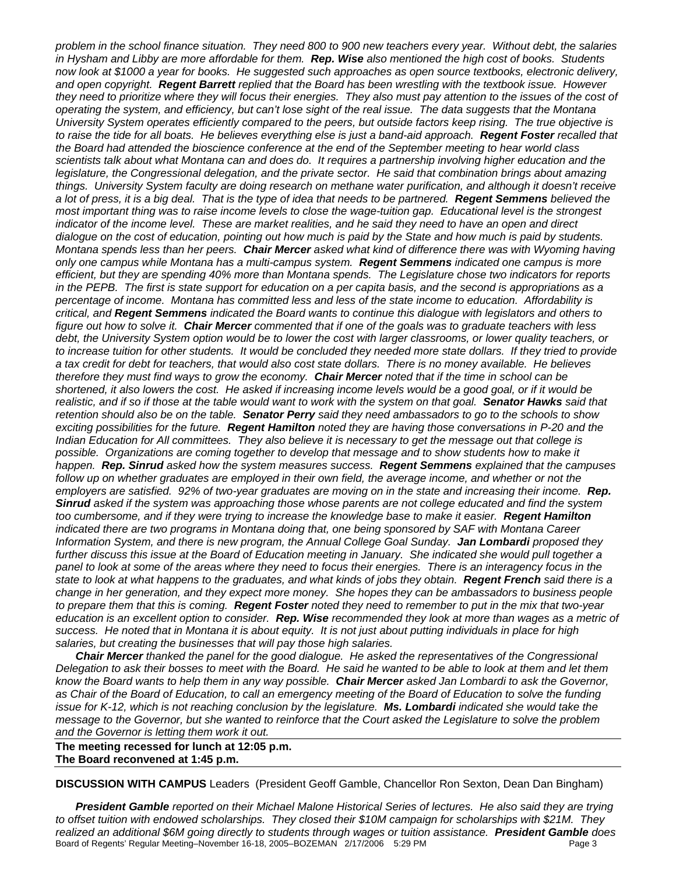*problem in the school finance situation. They need 800 to 900 new teachers every year. Without debt, the salaries in Hysham and Libby are more affordable for them. Rep. Wise also mentioned the high cost of books. Students now look at \$1000 a year for books. He suggested such approaches as open source textbooks, electronic delivery, and open copyright. Regent Barrett replied that the Board has been wrestling with the textbook issue. However they need to prioritize where they will focus their energies. They also must pay attention to the issues of the cost of operating the system, and efficiency, but can't lose sight of the real issue. The data suggests that the Montana University System operates efficiently compared to the peers, but outside factors keep rising. The true objective is to raise the tide for all boats. He believes everything else is just a band-aid approach. Regent Foster recalled that the Board had attended the bioscience conference at the end of the September meeting to hear world class scientists talk about what Montana can and does do. It requires a partnership involving higher education and the legislature, the Congressional delegation, and the private sector. He said that combination brings about amazing things. University System faculty are doing research on methane water purification, and although it doesn't receive a lot of press, it is a big deal. That is the type of idea that needs to be partnered. Regent Semmens believed the most important thing was to raise income levels to close the wage-tuition gap. Educational level is the strongest indicator of the income level. These are market realities, and he said they need to have an open and direct dialogue on the cost of education, pointing out how much is paid by the State and how much is paid by students. Montana spends less than her peers. Chair Mercer asked what kind of difference there was with Wyoming having only one campus while Montana has a multi-campus system. Regent Semmens indicated one campus is more efficient, but they are spending 40% more than Montana spends. The Legislature chose two indicators for reports in the PEPB. The first is state support for education on a per capita basis, and the second is appropriations as a percentage of income. Montana has committed less and less of the state income to education. Affordability is critical, and Regent Semmens indicated the Board wants to continue this dialogue with legislators and others to figure out how to solve it. Chair Mercer commented that if one of the goals was to graduate teachers with less debt, the University System option would be to lower the cost with larger classrooms, or lower quality teachers, or* to increase tuition for other students. It would be concluded they needed more state dollars. If they tried to provide *a tax credit for debt for teachers, that would also cost state dollars. There is no money available. He believes therefore they must find ways to grow the economy. Chair Mercer noted that if the time in school can be shortened, it also lowers the cost. He asked if increasing income levels would be a good goal, or if it would be realistic, and if so if those at the table would want to work with the system on that goal. Senator Hawks said that retention should also be on the table. Senator Perry said they need ambassadors to go to the schools to show exciting possibilities for the future. Regent Hamilton noted they are having those conversations in P-20 and the Indian Education for All committees. They also believe it is necessary to get the message out that college is possible. Organizations are coming together to develop that message and to show students how to make it happen. Rep. Sinrud asked how the system measures success. Regent Semmens explained that the campuses follow up on whether graduates are employed in their own field, the average income, and whether or not the employers are satisfied. 92% of two-year graduates are moving on in the state and increasing their income. Rep. Sinrud asked if the system was approaching those whose parents are not college educated and find the system too cumbersome, and if they were trying to increase the knowledge base to make it easier. Regent Hamilton indicated there are two programs in Montana doing that, one being sponsored by SAF with Montana Career Information System, and there is new program, the Annual College Goal Sunday. Jan Lombardi proposed they*  further discuss this issue at the Board of Education meeting in January. She indicated she would pull together a *panel to look at some of the areas where they need to focus their energies. There is an interagency focus in the state to look at what happens to the graduates, and what kinds of jobs they obtain. Regent French said there is a change in her generation, and they expect more money. She hopes they can be ambassadors to business people to prepare them that this is coming. Regent Foster noted they need to remember to put in the mix that two-year education is an excellent option to consider. Rep. Wise recommended they look at more than wages as a metric of success. He noted that in Montana it is about equity. It is not just about putting individuals in place for high salaries, but creating the businesses that will pay those high salaries.* 

*Chair Mercer thanked the panel for the good dialogue. He asked the representatives of the Congressional Delegation to ask their bosses to meet with the Board. He said he wanted to be able to look at them and let them know the Board wants to help them in any way possible. Chair Mercer asked Jan Lombardi to ask the Governor, as Chair of the Board of Education, to call an emergency meeting of the Board of Education to solve the funding issue for K-12, which is not reaching conclusion by the legislature. Ms. Lombardi indicated she would take the message to the Governor, but she wanted to reinforce that the Court asked the Legislature to solve the problem and the Governor is letting them work it out.* 

**The meeting recessed for lunch at 12:05 p.m. The Board reconvened at 1:45 p.m.** 

**DISCUSSION WITH CAMPUS** Leaders (President Geoff Gamble, Chancellor Ron Sexton, Dean Dan Bingham)

Board of Regents' Regular Meeting–November 16-18, 2005–BOZEMAN  $2/17/2006$  5:29 PM *President Gamble reported on their Michael Malone Historical Series of lectures. He also said they are trying to offset tuition with endowed scholarships. They closed their \$10M campaign for scholarships with \$21M. They realized an additional \$6M going directly to students through wages or tuition assistance. President Gamble does*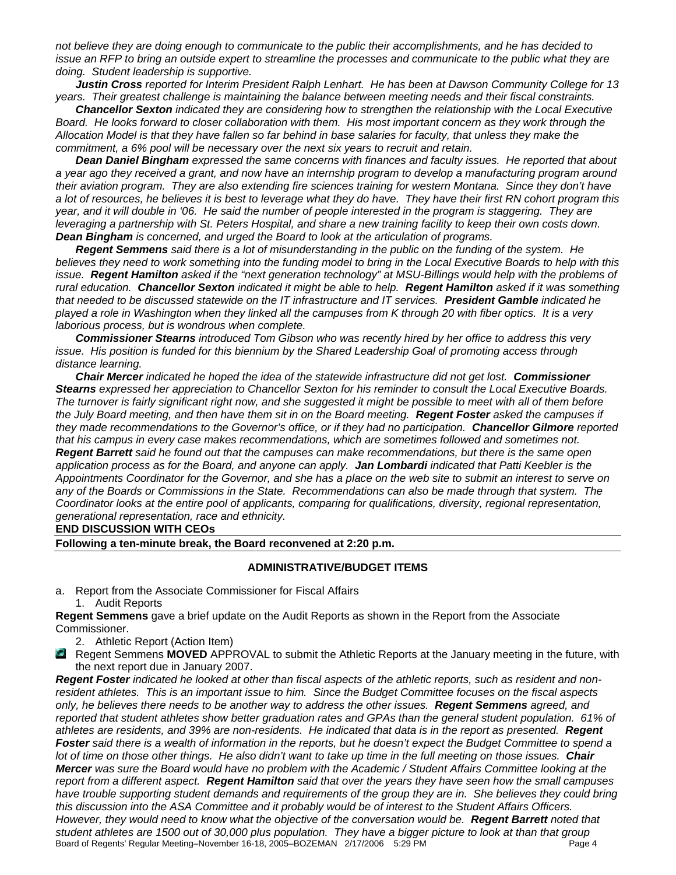*not believe they are doing enough to communicate to the public their accomplishments, and he has decided to issue an RFP to bring an outside expert to streamline the processes and communicate to the public what they are doing. Student leadership is supportive.* 

*Justin Cross reported for Interim President Ralph Lenhart. He has been at Dawson Community College for 13 years. Their greatest challenge is maintaining the balance between meeting needs and their fiscal constraints.* 

*Chancellor Sexton indicated they are considering how to strengthen the relationship with the Local Executive Board. He looks forward to closer collaboration with them. His most important concern as they work through the Allocation Model is that they have fallen so far behind in base salaries for faculty, that unless they make the commitment, a 6% pool will be necessary over the next six years to recruit and retain.* 

*Dean Daniel Bingham expressed the same concerns with finances and faculty issues. He reported that about a year ago they received a grant, and now have an internship program to develop a manufacturing program around their aviation program. They are also extending fire sciences training for western Montana. Since they don't have a lot of resources, he believes it is best to leverage what they do have. They have their first RN cohort program this year, and it will double in '06. He said the number of people interested in the program is staggering. They are leveraging a partnership with St. Peters Hospital, and share a new training facility to keep their own costs down. Dean Bingham is concerned, and urged the Board to look at the articulation of programs.*

*Regent Semmens said there is a lot of misunderstanding in the public on the funding of the system. He believes they need to work something into the funding model to bring in the Local Executive Boards to help with this issue. Regent Hamilton asked if the "next generation technology" at MSU-Billings would help with the problems of rural education. Chancellor Sexton indicated it might be able to help. Regent Hamilton asked if it was something that needed to be discussed statewide on the IT infrastructure and IT services. President Gamble indicated he played a role in Washington when they linked all the campuses from K through 20 with fiber optics. It is a very laborious process, but is wondrous when complete.* 

*Commissioner Stearns introduced Tom Gibson who was recently hired by her office to address this very issue. His position is funded for this biennium by the Shared Leadership Goal of promoting access through distance learning.* 

*Chair Mercer indicated he hoped the idea of the statewide infrastructure did not get lost. Commissioner Stearns expressed her appreciation to Chancellor Sexton for his reminder to consult the Local Executive Boards. The turnover is fairly significant right now, and she suggested it might be possible to meet with all of them before the July Board meeting, and then have them sit in on the Board meeting. Regent Foster asked the campuses if they made recommendations to the Governor's office, or if they had no participation. Chancellor Gilmore reported that his campus in every case makes recommendations, which are sometimes followed and sometimes not. Regent Barrett said he found out that the campuses can make recommendations, but there is the same open application process as for the Board, and anyone can apply. Jan Lombardi indicated that Patti Keebler is the Appointments Coordinator for the Governor, and she has a place on the web site to submit an interest to serve on any of the Boards or Commissions in the State. Recommendations can also be made through that system. The Coordinator looks at the entire pool of applicants, comparing for qualifications, diversity, regional representation, generational representation, race and ethnicity.* 

**END DISCUSSION WITH CEOs** 

**Following a ten-minute break, the Board reconvened at 2:20 p.m.** 

#### **ADMINISTRATIVE/BUDGET ITEMS**

a. Report from the Associate Commissioner for Fiscal Affairs 1. Audit Reports

**Regent Semmens** gave a brief update on the Audit Reports as shown in the Report from the Associate Commissioner.

- 2. Athletic Report (Action Item)
- **Regent Semmens MOVED** APPROVAL to submit the Athletic Reports at the January meeting in the future, with the next report due in January 2007.

Board of Regents' Regular Meeting–November 16-18, 2005–BOZEMAN 2/17/2006 5:29 PM Page 4 *Regent Foster indicated he looked at other than fiscal aspects of the athletic reports, such as resident and nonresident athletes. This is an important issue to him. Since the Budget Committee focuses on the fiscal aspects only, he believes there needs to be another way to address the other issues. Regent Semmens agreed, and*  reported that student athletes show better graduation rates and GPAs than the general student population. 61% of *athletes are residents, and 39% are non-residents. He indicated that data is in the report as presented. Regent Foster said there is a wealth of information in the reports, but he doesn't expect the Budget Committee to spend a lot of time on those other things. He also didn't want to take up time in the full meeting on those issues. Chair Mercer was sure the Board would have no problem with the Academic / Student Affairs Committee looking at the report from a different aspect. Regent Hamilton said that over the years they have seen how the small campuses*  have trouble supporting student demands and requirements of the group they are in. She believes they could bring *this discussion into the ASA Committee and it probably would be of interest to the Student Affairs Officers. However, they would need to know what the objective of the conversation would be. Regent Barrett noted that student athletes are 1500 out of 30,000 plus population. They have a bigger picture to look at than that group*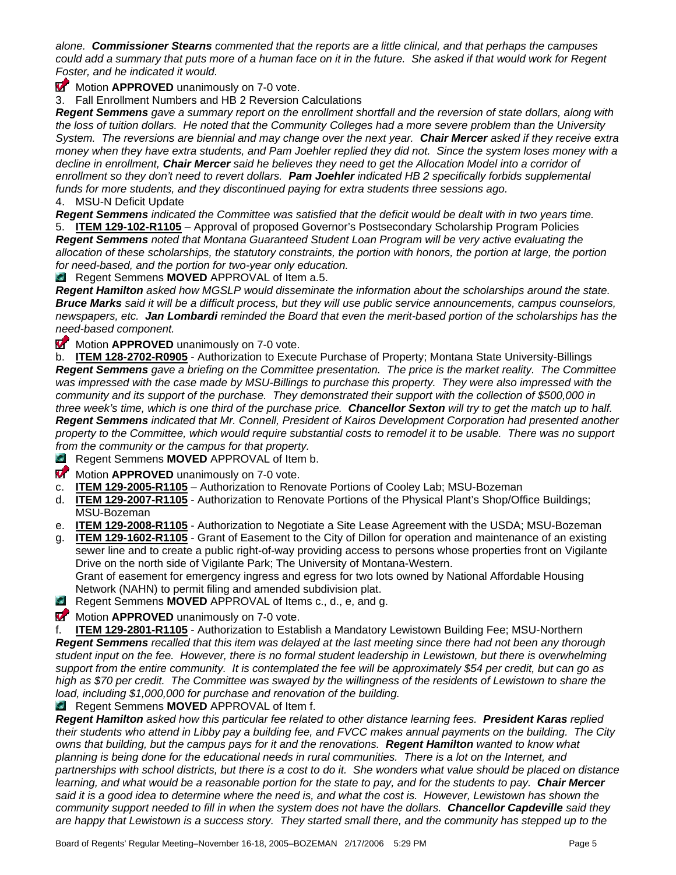*alone. Commissioner Stearns commented that the reports are a little clinical, and that perhaps the campuses could add a summary that puts more of a human face on it in the future. She asked if that would work for Regent Foster, and he indicated it would.* 

**Motion APPROVED** unanimously on 7-0 vote.

3. Fall Enrollment Numbers and HB 2 Reversion Calculations

*Regent Semmens gave a summary report on the enrollment shortfall and the reversion of state dollars, along with the loss of tuition dollars. He noted that the Community Colleges had a more severe problem than the University System. The reversions are biennial and may change over the next year. Chair Mercer asked if they receive extra money when they have extra students, and Pam Joehler replied they did not. Since the system loses money with a decline in enrollment, Chair Mercer said he believes they need to get the Allocation Model into a corridor of enrollment so they don't need to revert dollars. Pam Joehler indicated HB 2 specifically forbids supplemental funds for more students, and they discontinued paying for extra students three sessions ago.*  4. MSU-N Deficit Update

*Regent Semmens indicated the Committee was satisfied that the deficit would be dealt with in two years time.* 

5. **ITEM 129-102-R1105** – Approval of proposed Governor's Postsecondary Scholarship Program Policies *Regent Semmens noted that Montana Guaranteed Student Loan Program will be very active evaluating the allocation of these scholarships, the statutory constraints, the portion with honors, the portion at large, the portion for need-based, and the portion for two-year only education.* 

**Regent Semmens MOVED** APPROVAL of Item a.5.

*Regent Hamilton asked how MGSLP would disseminate the information about the scholarships around the state. Bruce Marks said it will be a difficult process, but they will use public service announcements, campus counselors, newspapers, etc. Jan Lombardi reminded the Board that even the merit-based portion of the scholarships has the need-based component.* 

**Motion APPROVED** unanimously on 7-0 vote.

b. **ITEM 128-2702-R0905** - Authorization to Execute Purchase of Property; Montana State University-Billings *Regent Semmens gave a briefing on the Committee presentation. The price is the market reality. The Committee*  was impressed with the case made by MSU-Billings to purchase this property. They were also impressed with the *community and its support of the purchase. They demonstrated their support with the collection of \$500,000 in three week's time, which is one third of the purchase price. Chancellor Sexton will try to get the match up to half. Regent Semmens indicated that Mr. Connell, President of Kairos Development Corporation had presented another property to the Committee, which would require substantial costs to remodel it to be usable. There was no support from the community or the campus for that property.* 

**Regent Semmens MOVED** APPROVAL of Item b.

- **Motion APPROVED** unanimously on 7-0 vote.
- c. **ITEM 129-2005-R1105** Authorization to Renovate Portions of Cooley Lab; MSU-Bozeman
- d. **ITEM 129-2007-R1105** Authorization to Renovate Portions of the Physical Plant's Shop/Office Buildings; MSU-Bozeman
- e. **ITEM 129-2008-R1105** Authorization to Negotiate a Site Lease Agreement with the USDA; MSU-Bozeman
- g. **ITEM 129-1602-R1105** Grant of Easement to the City of Dillon for operation and maintenance of an existing sewer line and to create a public right-of-way providing access to persons whose properties front on Vigilante Drive on the north side of Vigilante Park; The University of Montana-Western. Grant of easement for emergency ingress and egress for two lots owned by National Affordable Housing Network (NAHN) to permit filing and amended subdivision plat.
- **Regent Semmens MOVED** APPROVAL of Items c., d., e, and g.
- **Motion APPROVED** unanimously on 7-0 vote.

f. **ITEM 129-2801-R1105** - Authorization to Establish a Mandatory Lewistown Building Fee; MSU-Northern *Regent Semmens recalled that this item was delayed at the last meeting since there had not been any thorough student input on the fee. However, there is no formal student leadership in Lewistown, but there is overwhelming support from the entire community. It is contemplated the fee will be approximately \$54 per credit, but can go as high as \$70 per credit. The Committee was swayed by the willingness of the residents of Lewistown to share the load, including \$1,000,000 for purchase and renovation of the building.* 

**Regent Semmens MOVED** APPROVAL of Item f.

*Regent Hamilton asked how this particular fee related to other distance learning fees. President Karas replied their students who attend in Libby pay a building fee, and FVCC makes annual payments on the building. The City owns that building, but the campus pays for it and the renovations. Regent Hamilton wanted to know what planning is being done for the educational needs in rural communities. There is a lot on the Internet, and partnerships with school districts, but there is a cost to do it. She wonders what value should be placed on distance learning, and what would be a reasonable portion for the state to pay, and for the students to pay. Chair Mercer* said it is a good idea to determine where the need is, and what the cost is. However, Lewistown has shown the *community support needed to fill in when the system does not have the dollars. Chancellor Capdeville said they are happy that Lewistown is a success story. They started small there, and the community has stepped up to the*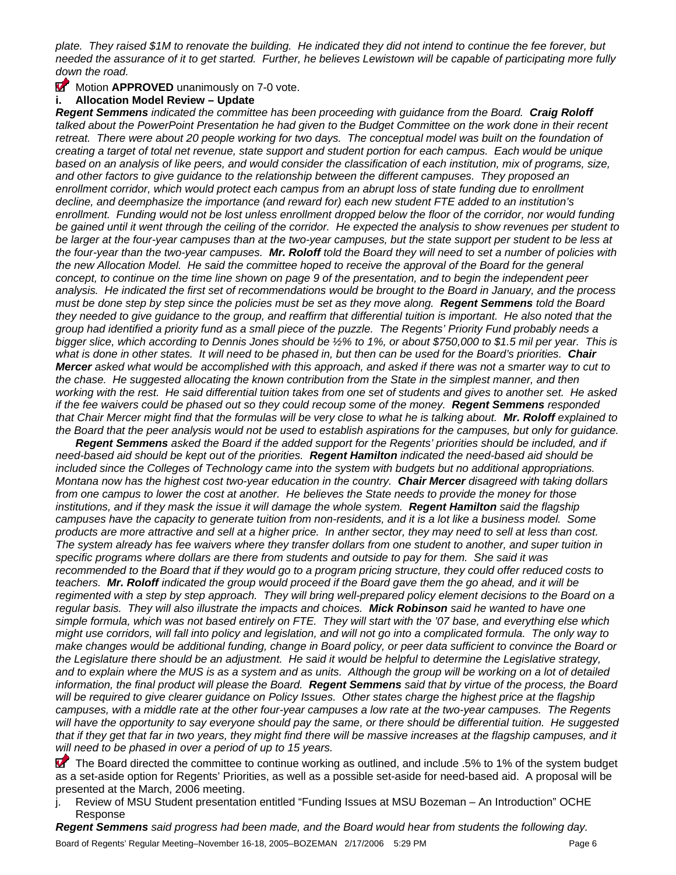*plate. They raised \$1M to renovate the building. He indicated they did not intend to continue the fee forever, but needed the assurance of it to get started. Further, he believes Lewistown will be capable of participating more fully down the road.* 

# **Motion APPROVED** unanimously on 7-0 vote.

# **i. Allocation Model Review – Update**

*Regent Semmens indicated the committee has been proceeding with guidance from the Board. Craig Roloff talked about the PowerPoint Presentation he had given to the Budget Committee on the work done in their recent*  retreat. There were about 20 people working for two days. The conceptual model was built on the foundation of *creating a target of total net revenue, state support and student portion for each campus. Each would be unique*  based on an analysis of like peers, and would consider the classification of each institution, mix of programs, size, *and other factors to give guidance to the relationship between the different campuses. They proposed an*  enrollment corridor, which would protect each campus from an abrupt loss of state funding due to enrollment *decline, and deemphasize the importance (and reward for) each new student FTE added to an institution's*  enrollment. Funding would not be lost unless enrollment dropped below the floor of the corridor, nor would funding *be gained until it went through the ceiling of the corridor. He expected the analysis to show revenues per student to*  be larger at the four-year campuses than at the two-year campuses, but the state support per student to be less at *the four-year than the two-year campuses. Mr. Roloff told the Board they will need to set a number of policies with the new Allocation Model. He said the committee hoped to receive the approval of the Board for the general concept, to continue on the time line shown on page 9 of the presentation, and to begin the independent peer analysis. He indicated the first set of recommendations would be brought to the Board in January, and the process must be done step by step since the policies must be set as they move along. Regent Semmens told the Board they needed to give guidance to the group, and reaffirm that differential tuition is important. He also noted that the group had identified a priority fund as a small piece of the puzzle. The Regents' Priority Fund probably needs a bigger slice, which according to Dennis Jones should be ½% to 1%, or about \$750,000 to \$1.5 mil per year. This is what is done in other states. It will need to be phased in, but then can be used for the Board's priorities. Chair Mercer asked what would be accomplished with this approach, and asked if there was not a smarter way to cut to the chase. He suggested allocating the known contribution from the State in the simplest manner, and then working with the rest. He said differential tuition takes from one set of students and gives to another set. He asked if the fee waivers could be phased out so they could recoup some of the money. Regent Semmens responded that Chair Mercer might find that the formulas will be very close to what he is talking about. Mr. Roloff explained to the Board that the peer analysis would not be used to establish aspirations for the campuses, but only for guidance.* 

*Regent Semmens asked the Board if the added support for the Regents' priorities should be included, and if need-based aid should be kept out of the priorities. Regent Hamilton indicated the need-based aid should be included since the Colleges of Technology came into the system with budgets but no additional appropriations. Montana now has the highest cost two-year education in the country. Chair Mercer disagreed with taking dollars from one campus to lower the cost at another. He believes the State needs to provide the money for those institutions, and if they mask the issue it will damage the whole system. Regent Hamilton said the flagship campuses have the capacity to generate tuition from non-residents, and it is a lot like a business model. Some products are more attractive and sell at a higher price. In anther sector, they may need to sell at less than cost. The system already has fee waivers where they transfer dollars from one student to another, and super tuition in specific programs where dollars are there from students and outside to pay for them. She said it was recommended to the Board that if they would go to a program pricing structure, they could offer reduced costs to teachers. Mr. Roloff indicated the group would proceed if the Board gave them the go ahead, and it will be*  regimented with a step by step approach. They will bring well-prepared policy element decisions to the Board on a *regular basis. They will also illustrate the impacts and choices. Mick Robinson said he wanted to have one simple formula, which was not based entirely on FTE. They will start with the '07 base, and everything else which might use corridors, will fall into policy and legislation, and will not go into a complicated formula. The only way to make changes would be additional funding, change in Board policy, or peer data sufficient to convince the Board or the Legislature there should be an adjustment. He said it would be helpful to determine the Legislative strategy, and to explain where the MUS is as a system and as units. Although the group will be working on a lot of detailed information, the final product will please the Board. Regent Semmens said that by virtue of the process, the Board will be required to give clearer guidance on Policy Issues. Other states charge the highest price at the flagship campuses, with a middle rate at the other four-year campuses a low rate at the two-year campuses. The Regents will have the opportunity to say everyone should pay the same, or there should be differential tuition. He suggested that if they get that far in two years, they might find there will be massive increases at the flagship campuses, and it will need to be phased in over a period of up to 15 years.* 

 The Board directed the committee to continue working as outlined, and include .5% to 1% of the system budget as a set-aside option for Regents' Priorities, as well as a possible set-aside for need-based aid. A proposal will be presented at the March, 2006 meeting.

j. Review of MSU Student presentation entitled "Funding Issues at MSU Bozeman – An Introduction" OCHE Response

*Regent Semmens said progress had been made, and the Board would hear from students the following day.*  Board of Regents' Regular Meeting–November 16-18, 2005–BOZEMAN 2/17/2006 5:29 PM Page 6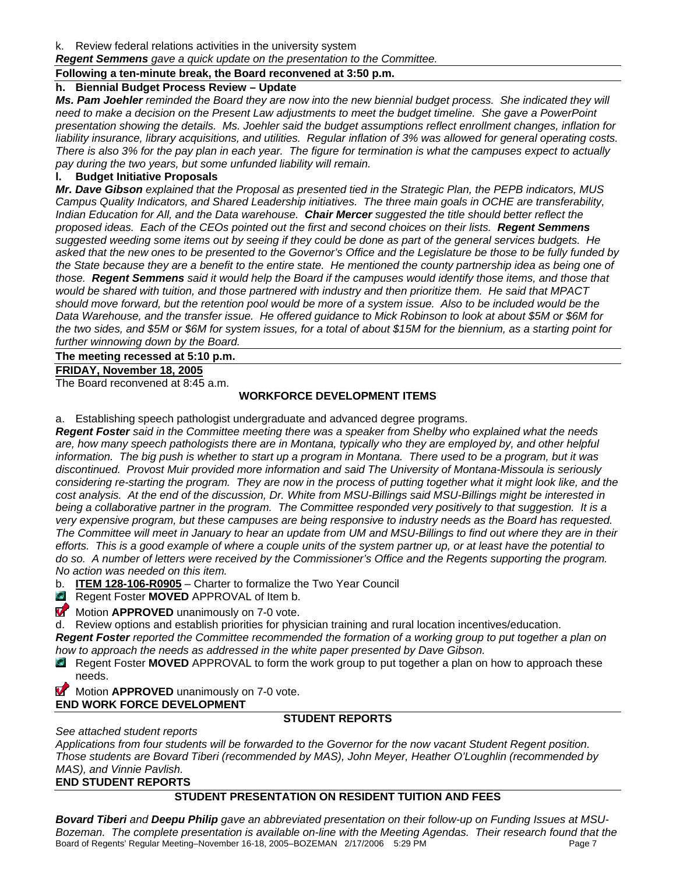k. Review federal relations activities in the university system

*Regent Semmens gave a quick update on the presentation to the Committee.* 

#### **Following a ten-minute break, the Board reconvened at 3:50 p.m.**

# **h. Biennial Budget Process Review – Update**

*Ms. Pam Joehler reminded the Board they are now into the new biennial budget process. She indicated they will need to make a decision on the Present Law adjustments to meet the budget timeline. She gave a PowerPoint presentation showing the details. Ms. Joehler said the budget assumptions reflect enrollment changes, inflation for liability insurance, library acquisitions, and utilities. Regular inflation of 3% was allowed for general operating costs. There is also 3% for the pay plan in each year. The figure for termination is what the campuses expect to actually pay during the two years, but some unfunded liability will remain.* 

# **l. Budget Initiative Proposals**

*Mr. Dave Gibson explained that the Proposal as presented tied in the Strategic Plan, the PEPB indicators, MUS Campus Quality Indicators, and Shared Leadership initiatives. The three main goals in OCHE are transferability, Indian Education for All, and the Data warehouse. Chair Mercer suggested the title should better reflect the proposed ideas. Each of the CEOs pointed out the first and second choices on their lists. Regent Semmens suggested weeding some items out by seeing if they could be done as part of the general services budgets. He asked that the new ones to be presented to the Governor's Office and the Legislature be those to be fully funded by*  the State because they are a benefit to the entire state. He mentioned the county partnership idea as being one of *those. Regent Semmens said it would help the Board if the campuses would identify those items, and those that would be shared with tuition, and those partnered with industry and then prioritize them. He said that MPACT should move forward, but the retention pool would be more of a system issue. Also to be included would be the Data Warehouse, and the transfer issue. He offered guidance to Mick Robinson to look at about \$5M or \$6M for the two sides, and \$5M or \$6M for system issues, for a total of about \$15M for the biennium, as a starting point for further winnowing down by the Board.* 

# **The meeting recessed at 5:10 p.m.**

# **FRIDAY, November 18, 2005**

The Board reconvened at 8:45 a.m.

# **WORKFORCE DEVELOPMENT ITEMS**

a. Establishing speech pathologist undergraduate and advanced degree programs.

*Regent Foster said in the Committee meeting there was a speaker from Shelby who explained what the needs are, how many speech pathologists there are in Montana, typically who they are employed by, and other helpful information. The big push is whether to start up a program in Montana. There used to be a program, but it was discontinued. Provost Muir provided more information and said The University of Montana-Missoula is seriously considering re-starting the program. They are now in the process of putting together what it might look like, and the cost analysis. At the end of the discussion, Dr. White from MSU-Billings said MSU-Billings might be interested in*  being a collaborative partner in the program. The Committee responded very positively to that suggestion. It is a *very expensive program, but these campuses are being responsive to industry needs as the Board has requested. The Committee will meet in January to hear an update from UM and MSU-Billings to find out where they are in their efforts. This is a good example of where a couple units of the system partner up, or at least have the potential to do so. A number of letters were received by the Commissioner's Office and the Regents supporting the program. No action was needed on this item.* 

b. **ITEM 128-106-R0905** – Charter to formalize the Two Year Council

**Regent Foster MOVED** APPROVAL of Item b.

**Motion APPROVED** unanimously on 7-0 vote.

d. Review options and establish priorities for physician training and rural location incentives/education.

*Regent Foster reported the Committee recommended the formation of a working group to put together a plan on how to approach the needs as addressed in the white paper presented by Dave Gibson.* 

- Regent Foster **MOVED** APPROVAL to form the work group to put together a plan on how to approach these needs.
- **Motion APPROVED** unanimously on 7-0 vote.

# **END WORK FORCE DEVELOPMENT**

# **STUDENT REPORTS**

*See attached student reports* 

*Applications from four students will be forwarded to the Governor for the now vacant Student Regent position. Those students are Bovard Tiberi (recommended by MAS), John Meyer, Heather O'Loughlin (recommended by MAS), and Vinnie Pavlish.* 

# **END STUDENT REPORTS**

# **STUDENT PRESENTATION ON RESIDENT TUITION AND FEES**

Board of Regents' Regular Meeting–November 16-18, 2005–BOZEMAN 2/17/2006 5:29 PM *Bovard Tiberi and Deepu Philip gave an abbreviated presentation on their follow-up on Funding Issues at MSU-Bozeman. The complete presentation is available on-line with the Meeting Agendas. Their research found that the*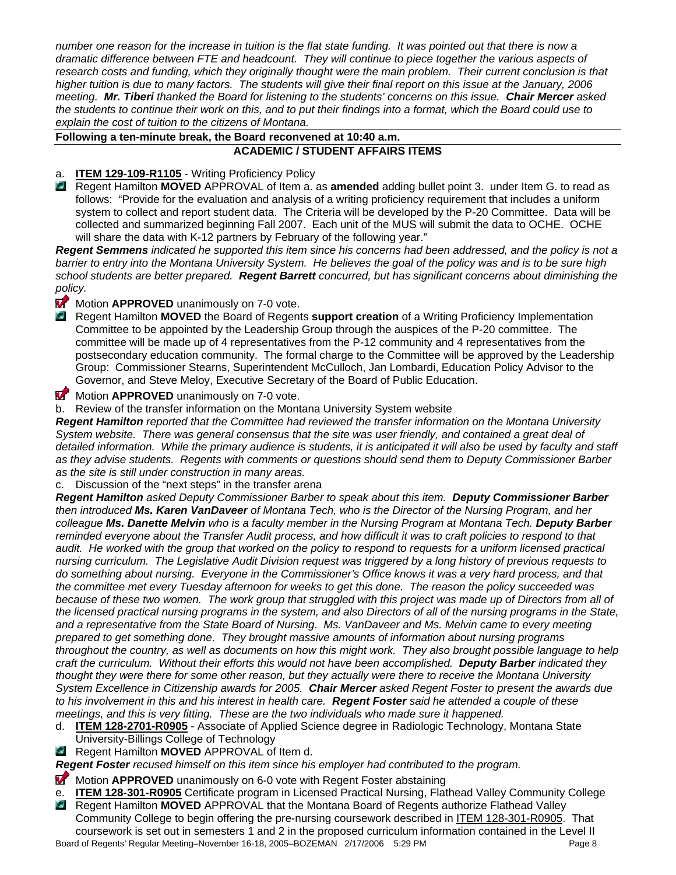*number one reason for the increase in tuition is the flat state funding. It was pointed out that there is now a dramatic difference between FTE and headcount. They will continue to piece together the various aspects of*  research costs and funding, which they originally thought were the main problem. Their current conclusion is that *higher tuition is due to many factors. The students will give their final report on this issue at the January, 2006 meeting. Mr. Tiberi thanked the Board for listening to the students' concerns on this issue. Chair Mercer asked the students to continue their work on this, and to put their findings into a format, which the Board could use to explain the cost of tuition to the citizens of Montana.* 

#### **Following a ten-minute break, the Board reconvened at 10:40 a.m. ACADEMIC / STUDENT AFFAIRS ITEMS**

# a. **ITEM 129-109-R1105** - Writing Proficiency Policy

 Regent Hamilton **MOVED** APPROVAL of Item a. as **amended** adding bullet point 3. under Item G. to read as follows: "Provide for the evaluation and analysis of a writing proficiency requirement that includes a uniform system to collect and report student data. The Criteria will be developed by the P-20 Committee. Data will be collected and summarized beginning Fall 2007. Each unit of the MUS will submit the data to OCHE. OCHE will share the data with K-12 partners by February of the following year."

*Regent Semmens indicated he supported this item since his concerns had been addressed, and the policy is not a barrier to entry into the Montana University System. He believes the goal of the policy was and is to be sure high school students are better prepared. Regent Barrett concurred, but has significant concerns about diminishing the policy.* 

# **Motion APPROVED** unanimously on 7-0 vote.

- Regent Hamilton **MOVED** the Board of Regents **support creation** of a Writing Proficiency Implementation Committee to be appointed by the Leadership Group through the auspices of the P-20 committee. The committee will be made up of 4 representatives from the P-12 community and 4 representatives from the postsecondary education community. The formal charge to the Committee will be approved by the Leadership Group: Commissioner Stearns, Superintendent McCulloch, Jan Lombardi, Education Policy Advisor to the Governor, and Steve Meloy, Executive Secretary of the Board of Public Education.
- **Motion APPROVED** unanimously on 7-0 vote.
- b. Review of the transfer information on the Montana University System website

*Regent Hamilton reported that the Committee had reviewed the transfer information on the Montana University System website. There was general consensus that the site was user friendly, and contained a great deal of detailed information. While the primary audience is students, it is anticipated it will also be used by faculty and staff as they advise students. Regents with comments or questions should send them to Deputy Commissioner Barber as the site is still under construction in many areas.* 

#### c. Discussion of the "next steps" in the transfer arena

*Regent Hamilton asked Deputy Commissioner Barber to speak about this item. Deputy Commissioner Barber then introduced Ms. Karen VanDaveer of Montana Tech, who is the Director of the Nursing Program, and her colleague Ms. Danette Melvin who is a faculty member in the Nursing Program at Montana Tech. Deputy Barber reminded everyone about the Transfer Audit process, and how difficult it was to craft policies to respond to that* audit. He worked with the group that worked on the policy to respond to requests for a uniform licensed practical *nursing curriculum. The Legislative Audit Division request was triggered by a long history of previous requests to do something about nursing. Everyone in the Commissioner's Office knows it was a very hard process, and that the committee met every Tuesday afternoon for weeks to get this done. The reason the policy succeeded was*  because of these two women. The work group that struggled with this project was made up of Directors from all of *the licensed practical nursing programs in the system, and also Directors of all of the nursing programs in the State, and a representative from the State Board of Nursing. Ms. VanDaveer and Ms. Melvin came to every meeting prepared to get something done. They brought massive amounts of information about nursing programs throughout the country, as well as documents on how this might work. They also brought possible language to help craft the curriculum. Without their efforts this would not have been accomplished. Deputy Barber indicated they thought they were there for some other reason, but they actually were there to receive the Montana University System Excellence in Citizenship awards for 2005. Chair Mercer asked Regent Foster to present the awards due to his involvement in this and his interest in health care. Regent Foster said he attended a couple of these meetings, and this is very fitting. These are the two individuals who made sure it happened.* 

- d. **ITEM 128-2701-R0905** Associate of Applied Science degree in Radiologic Technology, Montana State University-Billings College of Technology
- **Regent Hamilton MOVED** APPROVAL of Item d.
- *Regent Foster recused himself on this item since his employer had contributed to the program.*
- **Motion APPROVED** unanimously on 6-0 vote with Regent Foster abstaining
- e. **ITEM 128-301-R0905** Certificate program in Licensed Practical Nursing, Flathead Valley Community College
- Board of Regents' Regular Meeting–November 16-18, 2005–BOZEMAN 2/17/2006 5:29 PM Page 8 **Regent Hamilton MOVED** APPROVAL that the Montana Board of Regents authorize Flathead Valley Community College to begin offering the pre-nursing coursework described in ITEM 128-301-R0905. That coursework is set out in semesters 1 and 2 in the proposed curriculum information contained in the Level II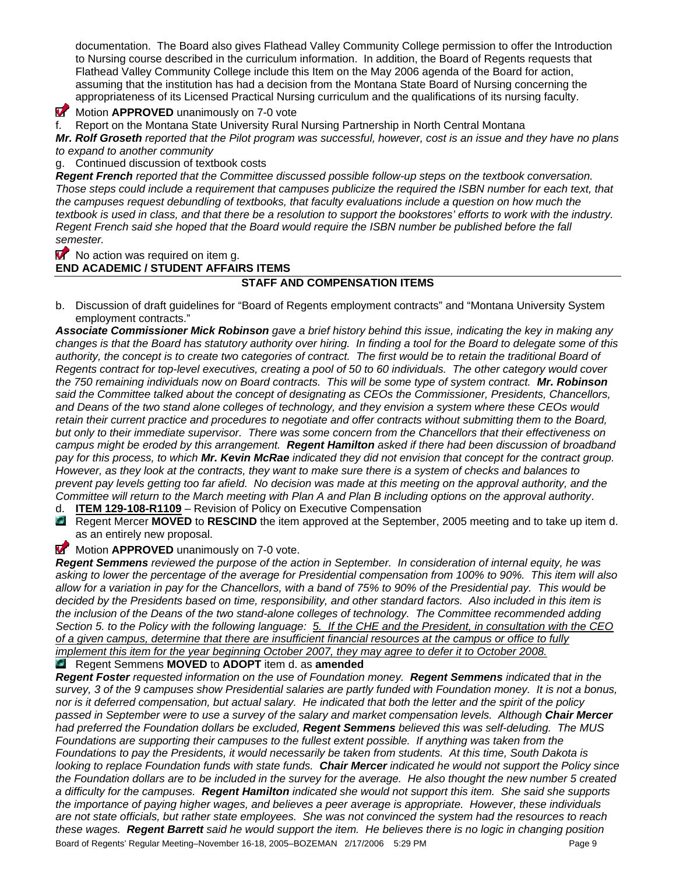documentation. The Board also gives Flathead Valley Community College permission to offer the Introduction to Nursing course described in the curriculum information. In addition, the Board of Regents requests that Flathead Valley Community College include this Item on the May 2006 agenda of the Board for action, assuming that the institution has had a decision from the Montana State Board of Nursing concerning the appropriateness of its Licensed Practical Nursing curriculum and the qualifications of its nursing faculty.

**Motion APPROVED** unanimously on 7-0 vote

f. Report on the Montana State University Rural Nursing Partnership in North Central Montana

*Mr. Rolf Groseth reported that the Pilot program was successful, however, cost is an issue and they have no plans to expand to another community* 

g. Continued discussion of textbook costs

*Regent French reported that the Committee discussed possible follow-up steps on the textbook conversation.*  Those steps could include a requirement that campuses publicize the required the ISBN number for each text, that *the campuses request debundling of textbooks, that faculty evaluations include a question on how much the textbook is used in class, and that there be a resolution to support the bookstores' efforts to work with the industry. Regent French said she hoped that the Board would require the ISBN number be published before the fall semester.* 

 $\blacksquare$  No action was required on item g.

**END ACADEMIC / STUDENT AFFAIRS ITEMS** 

# **STAFF AND COMPENSATION ITEMS**

b. Discussion of draft guidelines for "Board of Regents employment contracts" and "Montana University System employment contracts."

*Associate Commissioner Mick Robinson gave a brief history behind this issue, indicating the key in making any changes is that the Board has statutory authority over hiring. In finding a tool for the Board to delegate some of this*  authority, the concept is to create two categories of contract. The first would be to retain the traditional Board of *Regents contract for top-level executives, creating a pool of 50 to 60 individuals. The other category would cover the 750 remaining individuals now on Board contracts. This will be some type of system contract. Mr. Robinson said the Committee talked about the concept of designating as CEOs the Commissioner, Presidents, Chancellors, and Deans of the two stand alone colleges of technology, and they envision a system where these CEOs would retain their current practice and procedures to negotiate and offer contracts without submitting them to the Board, but only to their immediate supervisor. There was some concern from the Chancellors that their effectiveness on campus might be eroded by this arrangement. Regent Hamilton asked if there had been discussion of broadband pay for this process, to which Mr. Kevin McRae indicated they did not envision that concept for the contract group. However, as they look at the contracts, they want to make sure there is a system of checks and balances to prevent pay levels getting too far afield. No decision was made at this meeting on the approval authority, and the Committee will return to the March meeting with Plan A and Plan B including options on the approval authority*.

d. **ITEM 129-108-R1109** – Revision of Policy on Executive Compensation

**Regent Mercer MOVED** to **RESCIND** the item approved at the September, 2005 meeting and to take up item d. as an entirely new proposal.

**Motion APPROVED** unanimously on 7-0 vote.

*Regent Semmens reviewed the purpose of the action in September. In consideration of internal equity, he was asking to lower the percentage of the average for Presidential compensation from 100% to 90%. This item will also allow for a variation in pay for the Chancellors, with a band of 75% to 90% of the Presidential pay. This would be*  decided by the Presidents based on time, responsibility, and other standard factors. Also included in this item is *the inclusion of the Deans of the two stand-alone colleges of technology. The Committee recommended adding Section 5. to the Policy with the following language: 5. If the CHE and the President, in consultation with the CEO of a given campus, determine that there are insufficient financial resources at the campus or office to fully implement this item for the year beginning October 2007, they may agree to defer it to October 2008.*

# Regent Semmens **MOVED** to **ADOPT** item d. as **amended**

*Regent Foster requested information on the use of Foundation money. Regent Semmens indicated that in the survey, 3 of the 9 campuses show Presidential salaries are partly funded with Foundation money. It is not a bonus, nor is it deferred compensation, but actual salary. He indicated that both the letter and the spirit of the policy passed in September were to use a survey of the salary and market compensation levels. Although Chair Mercer had preferred the Foundation dollars be excluded, Regent Semmens believed this was self-deluding. The MUS Foundations are supporting their campuses to the fullest extent possible. If anything was taken from the Foundations to pay the Presidents, it would necessarily be taken from students. At this time, South Dakota is looking to replace Foundation funds with state funds. Chair Mercer indicated he would not support the Policy since the Foundation dollars are to be included in the survey for the average. He also thought the new number 5 created a difficulty for the campuses. Regent Hamilton indicated she would not support this item. She said she supports the importance of paying higher wages, and believes a peer average is appropriate. However, these individuals are not state officials, but rather state employees. She was not convinced the system had the resources to reach these wages. Regent Barrett said he would support the item. He believes there is no logic in changing position*  Board of Regents' Regular Meeting–November 16-18, 2005–BOZEMAN 2/17/2006 5:29 PM Page 9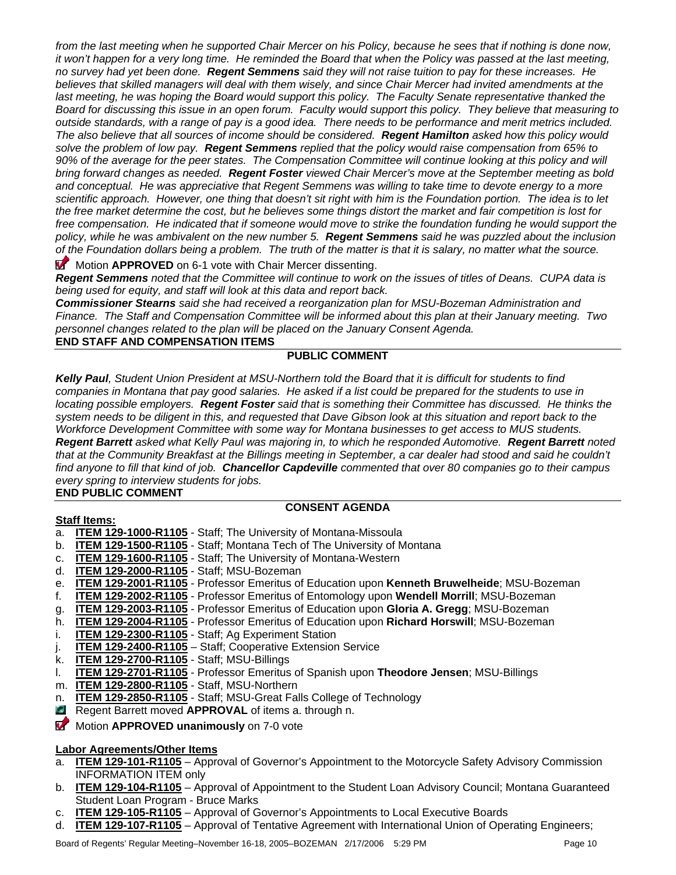*from the last meeting when he supported Chair Mercer on his Policy, because he sees that if nothing is done now, it won't happen for a very long time. He reminded the Board that when the Policy was passed at the last meeting, no survey had yet been done. Regent Semmens said they will not raise tuition to pay for these increases. He believes that skilled managers will deal with them wisely, and since Chair Mercer had invited amendments at the*  last meeting, he was hoping the Board would support this policy. The Faculty Senate representative thanked the *Board for discussing this issue in an open forum. Faculty would support this policy. They believe that measuring to outside standards, with a range of pay is a good idea. There needs to be performance and merit metrics included. The also believe that all sources of income should be considered. Regent Hamilton asked how this policy would solve the problem of low pay. Regent Semmens replied that the policy would raise compensation from 65% to 90% of the average for the peer states. The Compensation Committee will continue looking at this policy and will bring forward changes as needed. Regent Foster viewed Chair Mercer's move at the September meeting as bold and conceptual. He was appreciative that Regent Semmens was willing to take time to devote energy to a more scientific approach. However, one thing that doesn't sit right with him is the Foundation portion. The idea is to let the free market determine the cost, but he believes some things distort the market and fair competition is lost for*  free compensation. He indicated that if someone would move to strike the foundation funding he would support the *policy, while he was ambivalent on the new number 5. Regent Semmens said he was puzzled about the inclusion of the Foundation dollars being a problem. The truth of the matter is that it is salary, no matter what the source.* 

**Motion APPROVED** on 6-1 vote with Chair Mercer dissenting.

*Regent Semmens noted that the Committee will continue to work on the issues of titles of Deans. CUPA data is being used for equity, and staff will look at this data and report back.* 

*Commissioner Stearns said she had received a reorganization plan for MSU-Bozeman Administration and Finance. The Staff and Compensation Committee will be informed about this plan at their January meeting. Two personnel changes related to the plan will be placed on the January Consent Agenda.* 

**END STAFF AND COMPENSATION ITEMS**

# **PUBLIC COMMENT**

*Kelly Paul, Student Union President at MSU-Northern told the Board that it is difficult for students to find companies in Montana that pay good salaries. He asked if a list could be prepared for the students to use in locating possible employers. Regent Foster said that is something their Committee has discussed. He thinks the system needs to be diligent in this, and requested that Dave Gibson look at this situation and report back to the Workforce Development Committee with some way for Montana businesses to get access to MUS students. Regent Barrett asked what Kelly Paul was majoring in, to which he responded Automotive. Regent Barrett noted*  that at the Community Breakfast at the Billings meeting in September, a car dealer had stood and said he couldn't *find anyone to fill that kind of job. Chancellor Capdeville commented that over 80 companies go to their campus every spring to interview students for jobs.* 

# **END PUBLIC COMMENT**

**Staff Items:**

# **CONSENT AGENDA**

- a. **ITEM 129-1000-R1105** Staff; The University of Montana-Missoula
- b. **ITEM 129-1500-R1105** Staff; Montana Tech of The University of Montana
- c. **ITEM 129-1600-R1105** Staff; The University of Montana-Western
- d. **ITEM 129-2000-R1105** Staff; MSU-Bozeman
- e. **ITEM 129-2001-R1105** Professor Emeritus of Education upon **Kenneth Bruwelheide**; MSU-Bozeman
- f. **ITEM 129-2002-R1105** Professor Emeritus of Entomology upon **Wendell Morrill**; MSU-Bozeman
- g. **ITEM 129-2003-R1105** Professor Emeritus of Education upon **Gloria A. Gregg**; MSU-Bozeman
- h. **ITEM 129-2004-R1105** Professor Emeritus of Education upon **Richard Horswill**; MSU-Bozeman
- i. **ITEM 129-2300-R1105** Staff; Ag Experiment Station
- j. **ITEM 129-2400-R1105** Staff; Cooperative Extension Service
- k. **ITEM 129-2700-R1105** Staff; MSU-Billings
- l. **ITEM 129-2701-R1105** Professor Emeritus of Spanish upon **Theodore Jensen**; MSU-Billings
- m. **ITEM 129-2800-R1105** Staff, MSU-Northern
- n. **ITEM 129-2850-R1105** Staff; MSU-Great Falls College of Technology
- **Regent Barrett moved APPROVAL** of items a. through n.
- **Motion APPROVED unanimously** on 7-0 vote

#### **Labor Agreements/Other Items**

- a. **ITEM 129-101-R1105** Approval of Governor's Appointment to the Motorcycle Safety Advisory Commission INFORMATION ITEM only
- b. **ITEM 129-104-R1105** Approval of Appointment to the Student Loan Advisory Council; Montana Guaranteed Student Loan Program - Bruce Marks
- c. **ITEM 129-105-R1105** Approval of Governor's Appointments to Local Executive Boards
- d. **ITEM 129-107-R1105** Approval of Tentative Agreement with International Union of Operating Engineers;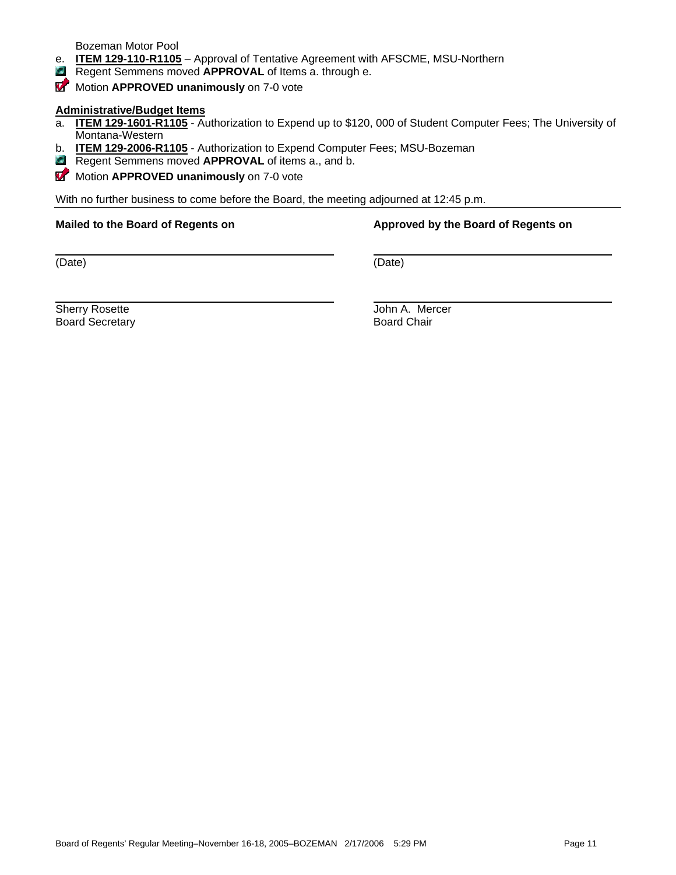Bozeman Motor Pool

- e. **ITEM 129-110-R1105** Approval of Tentative Agreement with AFSCME, MSU-Northern
- **Regent Semmens moved APPROVAL** of Items a. through e.
- **Motion APPROVED unanimously** on 7-0 vote

#### **Administrative/Budget Items**

- a. **ITEM 129-1601-R1105** Authorization to Expend up to \$120, 000 of Student Computer Fees; The University of Montana-Western
- b. **ITEM 129-2006-R1105** Authorization to Expend Computer Fees; MSU-Bozeman
- **Regent Semmens moved APPROVAL** of items a., and b.
- **Motion APPROVED unanimously** on 7-0 vote

With no further business to come before the Board, the meeting adjourned at 12:45 p.m.

#### **Mailed to the Board of Regents on Approved by the Board of Regents on Approved by the Board of Regents on**

(Date) (Date)

**Board Secretary** 

Sherry Rosette **Gallery Community Community Community** Sherry John A. Mercer<br>Board Secretary **Community Community Community** Board Chair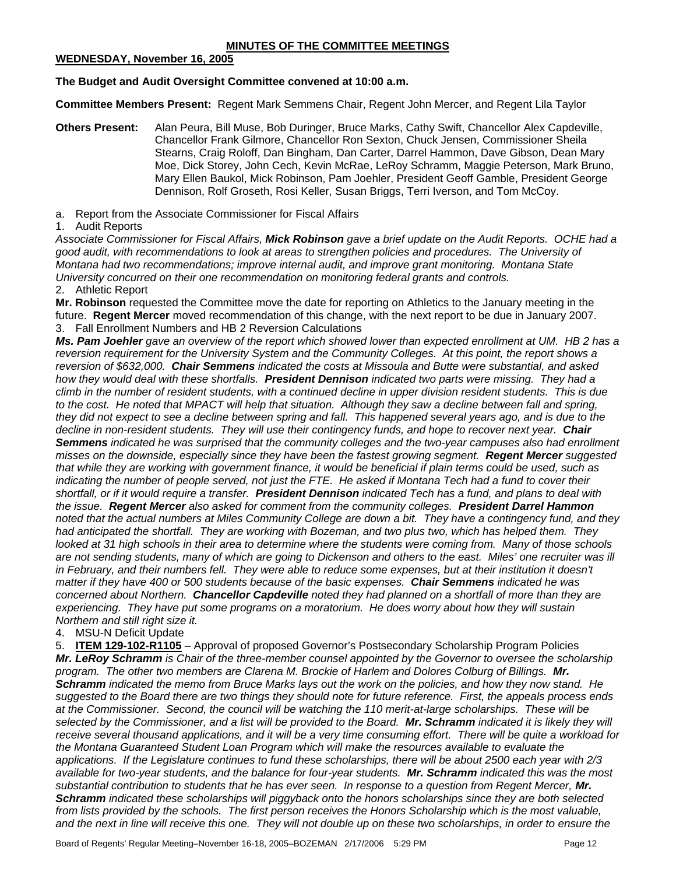# **WEDNESDAY, November 16, 2005**

# **The Budget and Audit Oversight Committee convened at 10:00 a.m.**

**Committee Members Present:** Regent Mark Semmens Chair, Regent John Mercer, and Regent Lila Taylor

- **Others Present:** Alan Peura, Bill Muse, Bob Duringer, Bruce Marks, Cathy Swift, Chancellor Alex Capdeville, Chancellor Frank Gilmore, Chancellor Ron Sexton, Chuck Jensen, Commissioner Sheila Stearns, Craig Roloff, Dan Bingham, Dan Carter, Darrel Hammon, Dave Gibson, Dean Mary Moe, Dick Storey, John Cech, Kevin McRae, LeRoy Schramm, Maggie Peterson, Mark Bruno, Mary Ellen Baukol, Mick Robinson, Pam Joehler, President Geoff Gamble, President George Dennison, Rolf Groseth, Rosi Keller, Susan Briggs, Terri Iverson, and Tom McCoy.
- a. Report from the Associate Commissioner for Fiscal Affairs

# 1. Audit Reports

*Associate Commissioner for Fiscal Affairs, Mick Robinson gave a brief update on the Audit Reports. OCHE had a good audit, with recommendations to look at areas to strengthen policies and procedures. The University of Montana had two recommendations; improve internal audit, and improve grant monitoring. Montana State University concurred on their one recommendation on monitoring federal grants and controls.* 

2. Athletic Report

**Mr. Robinson** requested the Committee move the date for reporting on Athletics to the January meeting in the future. **Regent Mercer** moved recommendation of this change, with the next report to be due in January 2007. 3. Fall Enrollment Numbers and HB 2 Reversion Calculations

*Ms. Pam Joehler gave an overview of the report which showed lower than expected enrollment at UM. HB 2 has a*  reversion requirement for the University System and the Community Colleges. At this point, the report shows a *reversion of \$632,000. Chair Semmens indicated the costs at Missoula and Butte were substantial, and asked how they would deal with these shortfalls. President Dennison indicated two parts were missing. They had a climb in the number of resident students, with a continued decline in upper division resident students. This is due*  to the cost. He noted that MPACT will help that situation. Although they saw a decline between fall and spring, *they did not expect to see a decline between spring and fall. This happened several years ago, and is due to the decline in non-resident students. They will use their contingency funds, and hope to recover next year. Chair Semmens indicated he was surprised that the community colleges and the two-year campuses also had enrollment misses on the downside, especially since they have been the fastest growing segment. Regent Mercer suggested that while they are working with government finance, it would be beneficial if plain terms could be used, such as indicating the number of people served, not just the FTE. He asked if Montana Tech had a fund to cover their shortfall, or if it would require a transfer. President Dennison indicated Tech has a fund, and plans to deal with the issue. Regent Mercer also asked for comment from the community colleges. President Darrel Hammon noted that the actual numbers at Miles Community College are down a bit. They have a contingency fund, and they had anticipated the shortfall. They are working with Bozeman, and two plus two, which has helped them. They looked at 31 high schools in their area to determine where the students were coming from. Many of those schools are not sending students, many of which are going to Dickenson and others to the east. Miles' one recruiter was ill*  in February, and their numbers fell. They were able to reduce some expenses, but at their institution it doesn't *matter if they have 400 or 500 students because of the basic expenses. Chair Semmens indicated he was concerned about Northern. Chancellor Capdeville noted they had planned on a shortfall of more than they are experiencing. They have put some programs on a moratorium. He does worry about how they will sustain Northern and still right size it.* 

# 4. MSU-N Deficit Update

5. **ITEM 129-102-R1105** – Approval of proposed Governor's Postsecondary Scholarship Program Policies *Mr. LeRoy Schramm is Chair of the three-member counsel appointed by the Governor to oversee the scholarship program. The other two members are Clarena M. Brockie of Harlem and Dolores Colburg of Billings. Mr. Schramm indicated the memo from Bruce Marks lays out the work on the policies, and how they now stand. He suggested to the Board there are two things they should note for future reference. First, the appeals process ends at the Commissioner. Second, the council will be watching the 110 merit-at-large scholarships. These will be selected by the Commissioner, and a list will be provided to the Board. Mr. Schramm indicated it is likely they will receive several thousand applications, and it will be a very time consuming effort. There will be quite a workload for the Montana Guaranteed Student Loan Program which will make the resources available to evaluate the applications. If the Legislature continues to fund these scholarships, there will be about 2500 each year with 2/3 available for two-year students, and the balance for four-year students. Mr. Schramm indicated this was the most substantial contribution to students that he has ever seen. In response to a question from Regent Mercer, Mr. Schramm indicated these scholarships will piggyback onto the honors scholarships since they are both selected*  from lists provided by the schools. The first person receives the Honors Scholarship which is the most valuable, *and the next in line will receive this one. They will not double up on these two scholarships, in order to ensure the*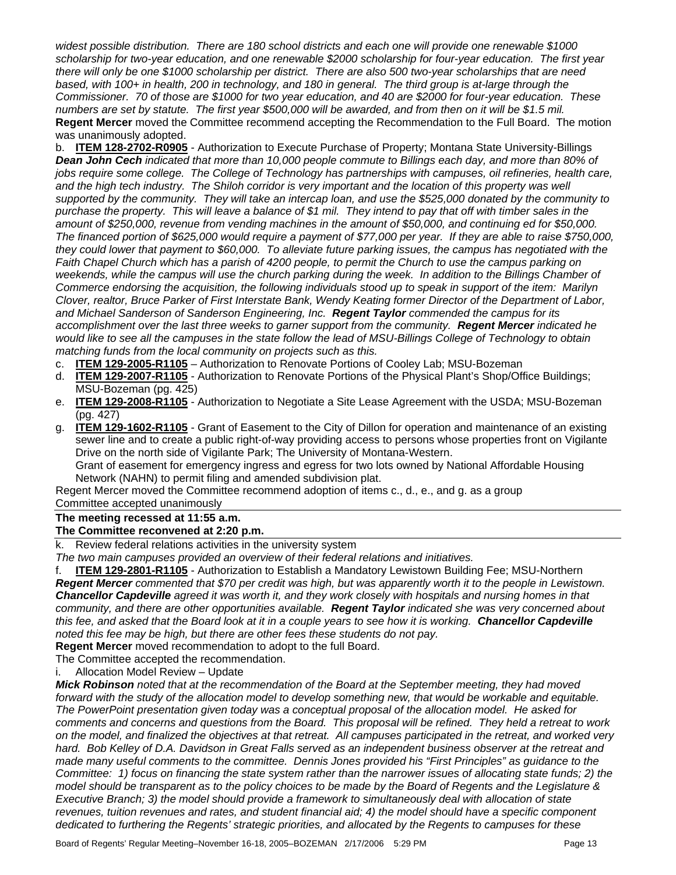*widest possible distribution. There are 180 school districts and each one will provide one renewable \$1000 scholarship for two-year education, and one renewable \$2000 scholarship for four-year education. The first year there will only be one \$1000 scholarship per district. There are also 500 two-year scholarships that are need based, with 100+ in health, 200 in technology, and 180 in general. The third group is at-large through the Commissioner. 70 of those are \$1000 for two year education, and 40 are \$2000 for four-year education. These numbers are set by statute. The first year \$500,000 will be awarded, and from then on it will be \$1.5 mil.*  **Regent Mercer** moved the Committee recommend accepting the Recommendation to the Full Board. The motion was unanimously adopted.

b. **ITEM 128-2702-R0905** - Authorization to Execute Purchase of Property; Montana State University-Billings *Dean John Cech indicated that more than 10,000 people commute to Billings each day, and more than 80% of jobs require some college. The College of Technology has partnerships with campuses, oil refineries, health care,* and the high tech industry. The Shiloh corridor is very important and the location of this property was well *supported by the community. They will take an intercap loan, and use the \$525,000 donated by the community to purchase the property. This will leave a balance of \$1 mil. They intend to pay that off with timber sales in the amount of \$250,000, revenue from vending machines in the amount of \$50,000, and continuing ed for \$50,000. The financed portion of \$625,000 would require a payment of \$77,000 per year. If they are able to raise \$750,000, they could lower that payment to \$60,000. To alleviate future parking issues, the campus has negotiated with the Faith Chapel Church which has a parish of 4200 people, to permit the Church to use the campus parking on*  weekends, while the campus will use the church parking during the week. In addition to the Billings Chamber of *Commerce endorsing the acquisition, the following individuals stood up to speak in support of the item: Marilyn Clover, realtor, Bruce Parker of First Interstate Bank, Wendy Keating former Director of the Department of Labor, and Michael Sanderson of Sanderson Engineering, Inc. Regent Taylor commended the campus for its accomplishment over the last three weeks to garner support from the community. Regent Mercer indicated he would like to see all the campuses in the state follow the lead of MSU-Billings College of Technology to obtain matching funds from the local community on projects such as this.* 

- c. **ITEM 129-2005-R1105** Authorization to Renovate Portions of Cooley Lab; MSU-Bozeman
- d. **ITEM 129-2007-R1105** Authorization to Renovate Portions of the Physical Plant's Shop/Office Buildings; MSU-Bozeman (pg. 425)
- e. **ITEM 129-2008-R1105** Authorization to Negotiate a Site Lease Agreement with the USDA; MSU-Bozeman (pg. 427)
- g. **ITEM 129-1602-R1105** Grant of Easement to the City of Dillon for operation and maintenance of an existing sewer line and to create a public right-of-way providing access to persons whose properties front on Vigilante Drive on the north side of Vigilante Park; The University of Montana-Western. Grant of easement for emergency ingress and egress for two lots owned by National Affordable Housing

Network (NAHN) to permit filing and amended subdivision plat.

Regent Mercer moved the Committee recommend adoption of items c., d., e., and g. as a group

Committee accepted unanimously

# **The meeting recessed at 11:55 a.m.**

#### **The Committee reconvened at 2:20 p.m.**

k. Review federal relations activities in the university system

*The two main campuses provided an overview of their federal relations and initiatives.* 

f. **ITEM 129-2801-R1105** - Authorization to Establish a Mandatory Lewistown Building Fee; MSU-Northern *Regent Mercer commented that \$70 per credit was high, but was apparently worth it to the people in Lewistown. Chancellor Capdeville agreed it was worth it, and they work closely with hospitals and nursing homes in that community, and there are other opportunities available. Regent Taylor indicated she was very concerned about this fee, and asked that the Board look at it in a couple years to see how it is working. Chancellor Capdeville noted this fee may be high, but there are other fees these students do not pay.* 

**Regent Mercer** moved recommendation to adopt to the full Board.

The Committee accepted the recommendation.

i. Allocation Model Review – Update

*Mick Robinson noted that at the recommendation of the Board at the September meeting, they had moved*  forward with the study of the allocation model to develop something new, that would be workable and equitable. *The PowerPoint presentation given today was a conceptual proposal of the allocation model. He asked for comments and concerns and questions from the Board. This proposal will be refined. They held a retreat to work on the model, and finalized the objectives at that retreat. All campuses participated in the retreat, and worked very*  hard. Bob Kelley of D.A. Davidson in Great Falls served as an independent business observer at the retreat and *made many useful comments to the committee. Dennis Jones provided his "First Principles" as guidance to the Committee: 1) focus on financing the state system rather than the narrower issues of allocating state funds; 2) the model should be transparent as to the policy choices to be made by the Board of Regents and the Legislature & Executive Branch; 3) the model should provide a framework to simultaneously deal with allocation of state*  revenues, tuition revenues and rates, and student financial aid; 4) the model should have a specific component *dedicated to furthering the Regents' strategic priorities, and allocated by the Regents to campuses for these*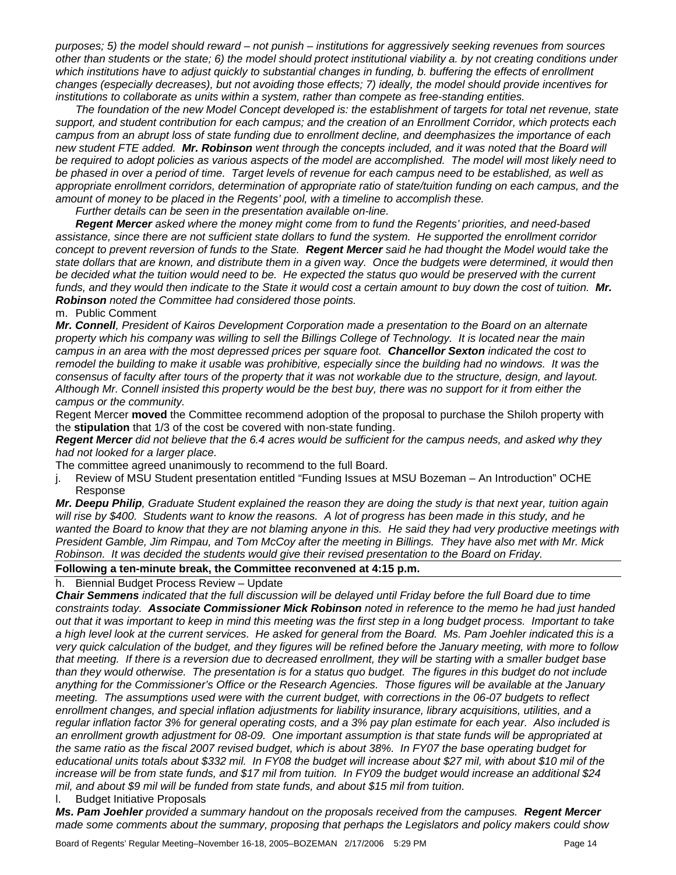*purposes; 5) the model should reward – not punish – institutions for aggressively seeking revenues from sources other than students or the state; 6) the model should protect institutional viability a. by not creating conditions under*  which institutions have to adjust quickly to substantial changes in funding, b. buffering the effects of enrollment *changes (especially decreases), but not avoiding those effects; 7) ideally, the model should provide incentives for institutions to collaborate as units within a system, rather than compete as free-standing entities.* 

 *The foundation of the new Model Concept developed is: the establishment of targets for total net revenue, state support, and student contribution for each campus; and the creation of an Enrollment Corridor, which protects each campus from an abrupt loss of state funding due to enrollment decline, and deemphasizes the importance of each new student FTE added. Mr. Robinson went through the concepts included, and it was noted that the Board will be required to adopt policies as various aspects of the model are accomplished. The model will most likely need to be phased in over a period of time. Target levels of revenue for each campus need to be established, as well as appropriate enrollment corridors, determination of appropriate ratio of state/tuition funding on each campus, and the amount of money to be placed in the Regents' pool, with a timeline to accomplish these.* 

 *Further details can be seen in the presentation available on-line.* 

*Regent Mercer asked where the money might come from to fund the Regents' priorities, and need-based*  assistance, since there are not sufficient state dollars to fund the system. He supported the enrollment corridor *concept to prevent reversion of funds to the State. Regent Mercer said he had thought the Model would take the state dollars that are known, and distribute them in a given way. Once the budgets were determined, it would then*  be decided what the tuition would need to be. He expected the status quo would be preserved with the current funds, and they would then indicate to the State it would cost a certain amount to buy down the cost of tuition. Mr. *Robinson noted the Committee had considered those points.* 

m. Public Comment

*Mr. Connell, President of Kairos Development Corporation made a presentation to the Board on an alternate property which his company was willing to sell the Billings College of Technology. It is located near the main campus in an area with the most depressed prices per square foot. Chancellor Sexton indicated the cost to*  remodel the building to make it usable was prohibitive, especially since the building had no windows. It was the *consensus of faculty after tours of the property that it was not workable due to the structure, design, and layout. Although Mr. Connell insisted this property would be the best buy, there was no support for it from either the campus or the community.*

Regent Mercer **moved** the Committee recommend adoption of the proposal to purchase the Shiloh property with the **stipulation** that 1/3 of the cost be covered with non-state funding.

*Regent Mercer did not believe that the 6.4 acres would be sufficient for the campus needs, and asked why they had not looked for a larger place.* 

The committee agreed unanimously to recommend to the full Board.

j. Review of MSU Student presentation entitled "Funding Issues at MSU Bozeman – An Introduction" OCHE Response

*Mr. Deepu Philip, Graduate Student explained the reason they are doing the study is that next year, tuition again will rise by \$400. Students want to know the reasons. A lot of progress has been made in this study, and he*  wanted the Board to know that they are not blaming anyone in this. He said they had very productive meetings with *President Gamble, Jim Rimpau, and Tom McCoy after the meeting in Billings. They have also met with Mr. Mick Robinson. It was decided the students would give their revised presentation to the Board on Friday.* 

#### **Following a ten-minute break, the Committee reconvened at 4:15 p.m.**

h. Biennial Budget Process Review – Update

*Chair Semmens indicated that the full discussion will be delayed until Friday before the full Board due to time constraints today. Associate Commissioner Mick Robinson noted in reference to the memo he had just handed out that it was important to keep in mind this meeting was the first step in a long budget process. Important to take a high level look at the current services. He asked for general from the Board. Ms. Pam Joehler indicated this is a very quick calculation of the budget, and they figures will be refined before the January meeting, with more to follow that meeting. If there is a reversion due to decreased enrollment, they will be starting with a smaller budget base than they would otherwise. The presentation is for a status quo budget. The figures in this budget do not include anything for the Commissioner's Office or the Research Agencies. Those figures will be available at the January meeting. The assumptions used were with the current budget, with corrections in the 06-07 budgets to reflect enrollment changes, and special inflation adjustments for liability insurance, library acquisitions, utilities, and a regular inflation factor 3% for general operating costs, and a 3% pay plan estimate for each year. Also included is an enrollment growth adjustment for 08-09. One important assumption is that state funds will be appropriated at the same ratio as the fiscal 2007 revised budget, which is about 38%. In FY07 the base operating budget for educational units totals about \$332 mil. In FY08 the budget will increase about \$27 mil, with about \$10 mil of the increase will be from state funds, and \$17 mil from tuition. In FY09 the budget would increase an additional \$24 mil, and about \$9 mil will be funded from state funds, and about \$15 mil from tuition.* 

l. Budget Initiative Proposals

*Ms. Pam Joehler provided a summary handout on the proposals received from the campuses. Regent Mercer made some comments about the summary, proposing that perhaps the Legislators and policy makers could show*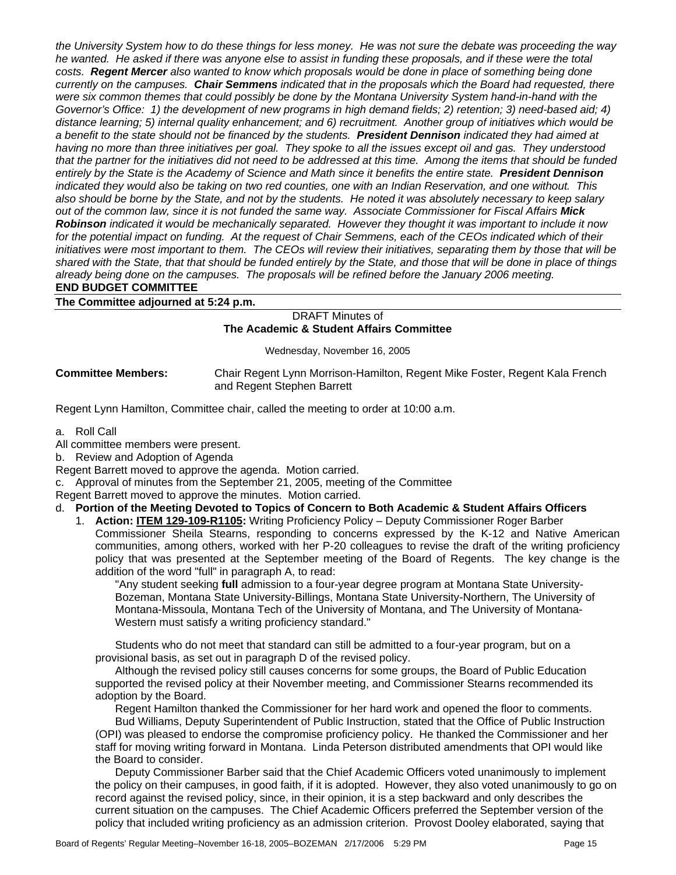*the University System how to do these things for less money. He was not sure the debate was proceeding the way he wanted. He asked if there was anyone else to assist in funding these proposals, and if these were the total costs. Regent Mercer also wanted to know which proposals would be done in place of something being done currently on the campuses. Chair Semmens indicated that in the proposals which the Board had requested, there were six common themes that could possibly be done by the Montana University System hand-in-hand with the Governor's Office: 1) the development of new programs in high demand fields; 2) retention; 3) need-based aid; 4) distance learning; 5) internal quality enhancement; and 6) recruitment. Another group of initiatives which would be a benefit to the state should not be financed by the students. President Dennison indicated they had aimed at having no more than three initiatives per goal. They spoke to all the issues except oil and gas. They understood that the partner for the initiatives did not need to be addressed at this time. Among the items that should be funded entirely by the State is the Academy of Science and Math since it benefits the entire state. President Dennison indicated they would also be taking on two red counties, one with an Indian Reservation, and one without. This also should be borne by the State, and not by the students. He noted it was absolutely necessary to keep salary out of the common law, since it is not funded the same way. Associate Commissioner for Fiscal Affairs Mick Robinson indicated it would be mechanically separated. However they thought it was important to include it now*  for the potential impact on funding. At the request of Chair Semmens, each of the CEOs indicated which of their *initiatives were most important to them. The CEOs will review their initiatives, separating them by those that will be shared with the State, that that should be funded entirely by the State, and those that will be done in place of things already being done on the campuses. The proposals will be refined before the January 2006 meeting.* 

#### **END BUDGET COMMITTEE**

**The Committee adjourned at 5:24 p.m.** 

#### DRAFT Minutes of **The Academic & Student Affairs Committee**

Wednesday, November 16, 2005

**Committee Members:** Chair Regent Lynn Morrison-Hamilton, Regent Mike Foster, Regent Kala French and Regent Stephen Barrett

Regent Lynn Hamilton, Committee chair, called the meeting to order at 10:00 a.m.

a. Roll Call

All committee members were present.

b. Review and Adoption of Agenda

Regent Barrett moved to approve the agenda. Motion carried.

c. Approval of minutes from the September 21, 2005, meeting of the Committee

Regent Barrett moved to approve the minutes. Motion carried.

#### d. **Portion of the Meeting Devoted to Topics of Concern to Both Academic & Student Affairs Officers**

1. **Action: ITEM 129-109-R1105:** Writing Proficiency Policy – Deputy Commissioner Roger Barber Commissioner Sheila Stearns, responding to concerns expressed by the K-12 and Native American communities, among others, worked with her P-20 colleagues to revise the draft of the writing proficiency policy that was presented at the September meeting of the Board of Regents. The key change is the addition of the word "full" in paragraph A, to read:

"Any student seeking **full** admission to a four-year degree program at Montana State University-Bozeman, Montana State University-Billings, Montana State University-Northern, The University of Montana-Missoula, Montana Tech of the University of Montana, and The University of Montana-Western must satisfy a writing proficiency standard."

Students who do not meet that standard can still be admitted to a four-year program, but on a provisional basis, as set out in paragraph D of the revised policy.

Although the revised policy still causes concerns for some groups, the Board of Public Education supported the revised policy at their November meeting, and Commissioner Stearns recommended its adoption by the Board.

Regent Hamilton thanked the Commissioner for her hard work and opened the floor to comments. Bud Williams, Deputy Superintendent of Public Instruction, stated that the Office of Public Instruction (OPI) was pleased to endorse the compromise proficiency policy. He thanked the Commissioner and her staff for moving writing forward in Montana. Linda Peterson distributed amendments that OPI would like the Board to consider.

Deputy Commissioner Barber said that the Chief Academic Officers voted unanimously to implement the policy on their campuses, in good faith, if it is adopted. However, they also voted unanimously to go on record against the revised policy, since, in their opinion, it is a step backward and only describes the current situation on the campuses. The Chief Academic Officers preferred the September version of the policy that included writing proficiency as an admission criterion. Provost Dooley elaborated, saying that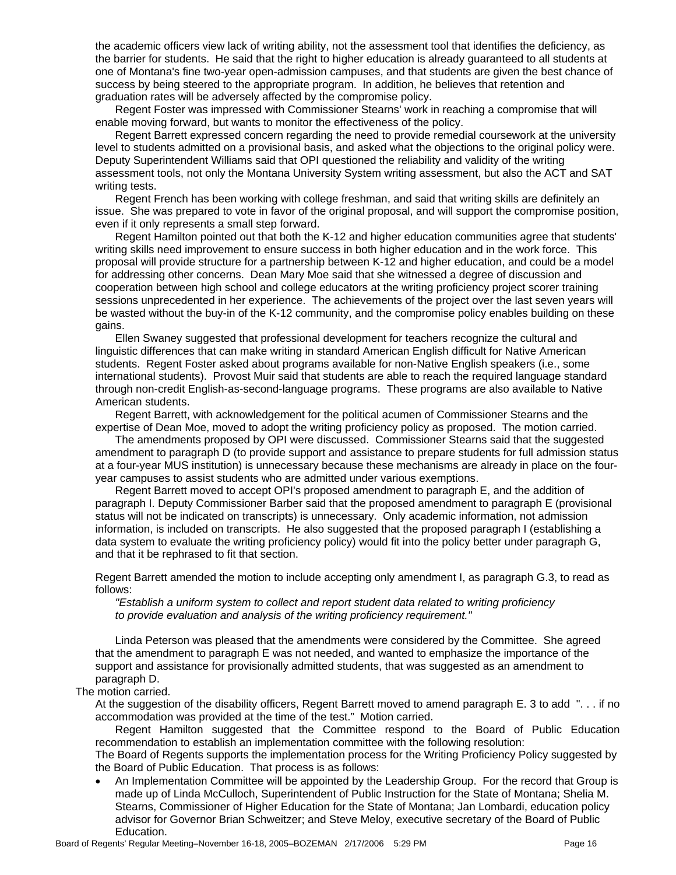the academic officers view lack of writing ability, not the assessment tool that identifies the deficiency, as the barrier for students. He said that the right to higher education is already guaranteed to all students at one of Montana's fine two-year open-admission campuses, and that students are given the best chance of success by being steered to the appropriate program. In addition, he believes that retention and graduation rates will be adversely affected by the compromise policy.

Regent Foster was impressed with Commissioner Stearns' work in reaching a compromise that will enable moving forward, but wants to monitor the effectiveness of the policy.

Regent Barrett expressed concern regarding the need to provide remedial coursework at the university level to students admitted on a provisional basis, and asked what the objections to the original policy were. Deputy Superintendent Williams said that OPI questioned the reliability and validity of the writing assessment tools, not only the Montana University System writing assessment, but also the ACT and SAT writing tests.

Regent French has been working with college freshman, and said that writing skills are definitely an issue. She was prepared to vote in favor of the original proposal, and will support the compromise position, even if it only represents a small step forward.

Regent Hamilton pointed out that both the K-12 and higher education communities agree that students' writing skills need improvement to ensure success in both higher education and in the work force. This proposal will provide structure for a partnership between K-12 and higher education, and could be a model for addressing other concerns. Dean Mary Moe said that she witnessed a degree of discussion and cooperation between high school and college educators at the writing proficiency project scorer training sessions unprecedented in her experience. The achievements of the project over the last seven years will be wasted without the buy-in of the K-12 community, and the compromise policy enables building on these gains.

Ellen Swaney suggested that professional development for teachers recognize the cultural and linguistic differences that can make writing in standard American English difficult for Native American students. Regent Foster asked about programs available for non-Native English speakers (i.e., some international students). Provost Muir said that students are able to reach the required language standard through non-credit English-as-second-language programs. These programs are also available to Native American students.

Regent Barrett, with acknowledgement for the political acumen of Commissioner Stearns and the expertise of Dean Moe, moved to adopt the writing proficiency policy as proposed. The motion carried.

The amendments proposed by OPI were discussed. Commissioner Stearns said that the suggested amendment to paragraph D (to provide support and assistance to prepare students for full admission status at a four-year MUS institution) is unnecessary because these mechanisms are already in place on the fouryear campuses to assist students who are admitted under various exemptions.

Regent Barrett moved to accept OPI's proposed amendment to paragraph E, and the addition of paragraph I. Deputy Commissioner Barber said that the proposed amendment to paragraph E (provisional status will not be indicated on transcripts) is unnecessary. Only academic information, not admission information, is included on transcripts. He also suggested that the proposed paragraph I (establishing a data system to evaluate the writing proficiency policy) would fit into the policy better under paragraph G, and that it be rephrased to fit that section.

Regent Barrett amended the motion to include accepting only amendment I, as paragraph G.3, to read as follows:

*"Establish a uniform system to collect and report student data related to writing proficiency to provide evaluation and analysis of the writing proficiency requirement."* 

Linda Peterson was pleased that the amendments were considered by the Committee. She agreed that the amendment to paragraph E was not needed, and wanted to emphasize the importance of the support and assistance for provisionally admitted students, that was suggested as an amendment to paragraph D.

#### The motion carried.

At the suggestion of the disability officers, Regent Barrett moved to amend paragraph E. 3 to add ". . . if no accommodation was provided at the time of the test." Motion carried.

Regent Hamilton suggested that the Committee respond to the Board of Public Education recommendation to establish an implementation committee with the following resolution:

The Board of Regents supports the implementation process for the Writing Proficiency Policy suggested by the Board of Public Education. That process is as follows:

• An Implementation Committee will be appointed by the Leadership Group. For the record that Group is made up of Linda McCulloch, Superintendent of Public Instruction for the State of Montana; Shelia M. Stearns, Commissioner of Higher Education for the State of Montana; Jan Lombardi, education policy advisor for Governor Brian Schweitzer; and Steve Meloy, executive secretary of the Board of Public Education.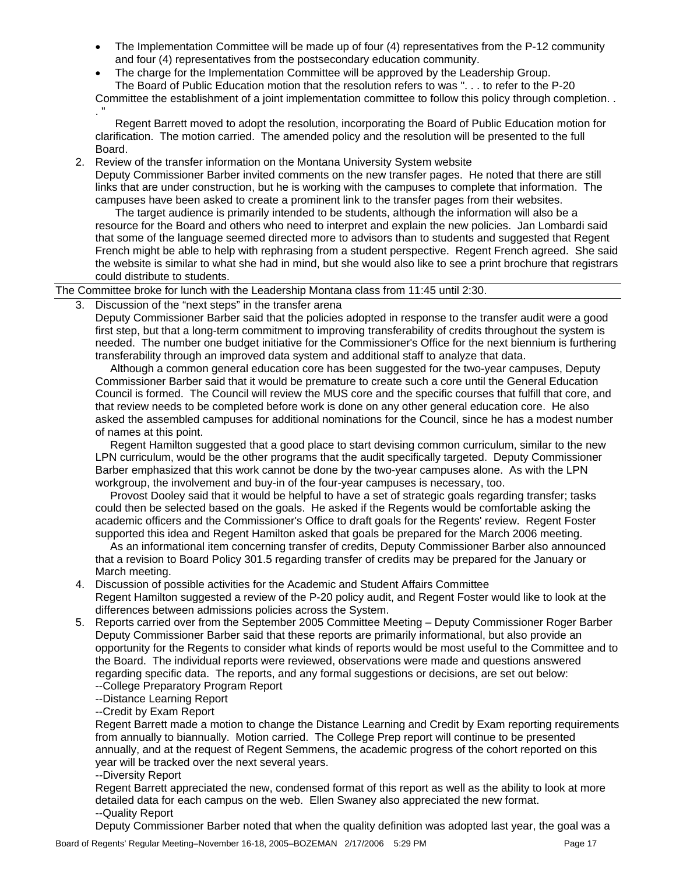- The Implementation Committee will be made up of four (4) representatives from the P-12 community and four (4) representatives from the postsecondary education community.
- The charge for the Implementation Committee will be approved by the Leadership Group. The Board of Public Education motion that the resolution refers to was ". . . to refer to the P-20

Committee the establishment of a joint implementation committee to follow this policy through completion. . . "

Regent Barrett moved to adopt the resolution, incorporating the Board of Public Education motion for clarification. The motion carried. The amended policy and the resolution will be presented to the full Board.

2. Review of the transfer information on the Montana University System website

Deputy Commissioner Barber invited comments on the new transfer pages. He noted that there are still links that are under construction, but he is working with the campuses to complete that information. The campuses have been asked to create a prominent link to the transfer pages from their websites.

The target audience is primarily intended to be students, although the information will also be a resource for the Board and others who need to interpret and explain the new policies. Jan Lombardi said that some of the language seemed directed more to advisors than to students and suggested that Regent French might be able to help with rephrasing from a student perspective. Regent French agreed. She said the website is similar to what she had in mind, but she would also like to see a print brochure that registrars could distribute to students.

The Committee broke for lunch with the Leadership Montana class from 11:45 until 2:30.

3. Discussion of the "next steps" in the transfer arena

Deputy Commissioner Barber said that the policies adopted in response to the transfer audit were a good first step, but that a long-term commitment to improving transferability of credits throughout the system is needed. The number one budget initiative for the Commissioner's Office for the next biennium is furthering transferability through an improved data system and additional staff to analyze that data.

Although a common general education core has been suggested for the two-year campuses, Deputy Commissioner Barber said that it would be premature to create such a core until the General Education Council is formed. The Council will review the MUS core and the specific courses that fulfill that core, and that review needs to be completed before work is done on any other general education core. He also asked the assembled campuses for additional nominations for the Council, since he has a modest number of names at this point.

Regent Hamilton suggested that a good place to start devising common curriculum, similar to the new LPN curriculum, would be the other programs that the audit specifically targeted. Deputy Commissioner Barber emphasized that this work cannot be done by the two-year campuses alone. As with the LPN workgroup, the involvement and buy-in of the four-year campuses is necessary, too.

Provost Dooley said that it would be helpful to have a set of strategic goals regarding transfer; tasks could then be selected based on the goals. He asked if the Regents would be comfortable asking the academic officers and the Commissioner's Office to draft goals for the Regents' review. Regent Foster supported this idea and Regent Hamilton asked that goals be prepared for the March 2006 meeting.

As an informational item concerning transfer of credits, Deputy Commissioner Barber also announced that a revision to Board Policy 301.5 regarding transfer of credits may be prepared for the January or March meeting.

- 4. Discussion of possible activities for the Academic and Student Affairs Committee Regent Hamilton suggested a review of the P-20 policy audit, and Regent Foster would like to look at the differences between admissions policies across the System.
- 5. Reports carried over from the September 2005 Committee Meeting Deputy Commissioner Roger Barber Deputy Commissioner Barber said that these reports are primarily informational, but also provide an opportunity for the Regents to consider what kinds of reports would be most useful to the Committee and to the Board. The individual reports were reviewed, observations were made and questions answered regarding specific data. The reports, and any formal suggestions or decisions, are set out below: --College Preparatory Program Report
	- --Distance Learning Report

--Credit by Exam Report

Regent Barrett made a motion to change the Distance Learning and Credit by Exam reporting requirements from annually to biannually. Motion carried. The College Prep report will continue to be presented annually, and at the request of Regent Semmens, the academic progress of the cohort reported on this year will be tracked over the next several years.

--Diversity Report

Regent Barrett appreciated the new, condensed format of this report as well as the ability to look at more detailed data for each campus on the web. Ellen Swaney also appreciated the new format. --Quality Report

Deputy Commissioner Barber noted that when the quality definition was adopted last year, the goal was a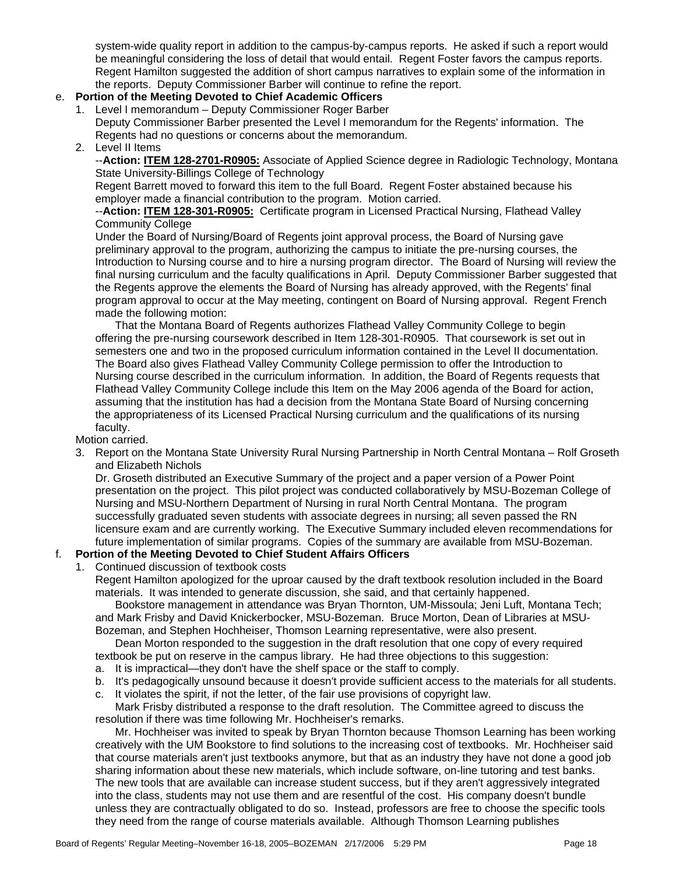system-wide quality report in addition to the campus-by-campus reports. He asked if such a report would be meaningful considering the loss of detail that would entail. Regent Foster favors the campus reports. Regent Hamilton suggested the addition of short campus narratives to explain some of the information in the reports. Deputy Commissioner Barber will continue to refine the report.

# e. **Portion of the Meeting Devoted to Chief Academic Officers**

- 1. Level I memorandum Deputy Commissioner Roger Barber Deputy Commissioner Barber presented the Level I memorandum for the Regents' information. The Regents had no questions or concerns about the memorandum.
- 2. Level II Items

#### --**Action: ITEM 128-2701-R0905:** Associate of Applied Science degree in Radiologic Technology, Montana State University-Billings College of Technology

Regent Barrett moved to forward this item to the full Board. Regent Foster abstained because his employer made a financial contribution to the program. Motion carried.

#### --**Action: ITEM 128-301-R0905:** Certificate program in Licensed Practical Nursing, Flathead Valley Community College

Under the Board of Nursing/Board of Regents joint approval process, the Board of Nursing gave preliminary approval to the program, authorizing the campus to initiate the pre-nursing courses, the Introduction to Nursing course and to hire a nursing program director. The Board of Nursing will review the final nursing curriculum and the faculty qualifications in April. Deputy Commissioner Barber suggested that the Regents approve the elements the Board of Nursing has already approved, with the Regents' final program approval to occur at the May meeting, contingent on Board of Nursing approval. Regent French made the following motion:

That the Montana Board of Regents authorizes Flathead Valley Community College to begin offering the pre-nursing coursework described in Item 128-301-R0905. That coursework is set out in semesters one and two in the proposed curriculum information contained in the Level II documentation. The Board also gives Flathead Valley Community College permission to offer the Introduction to Nursing course described in the curriculum information. In addition, the Board of Regents requests that Flathead Valley Community College include this Item on the May 2006 agenda of the Board for action, assuming that the institution has had a decision from the Montana State Board of Nursing concerning the appropriateness of its Licensed Practical Nursing curriculum and the qualifications of its nursing faculty.

Motion carried.

3. Report on the Montana State University Rural Nursing Partnership in North Central Montana – Rolf Groseth and Elizabeth Nichols

Dr. Groseth distributed an Executive Summary of the project and a paper version of a Power Point presentation on the project. This pilot project was conducted collaboratively by MSU-Bozeman College of Nursing and MSU-Northern Department of Nursing in rural North Central Montana. The program successfully graduated seven students with associate degrees in nursing; all seven passed the RN licensure exam and are currently working. The Executive Summary included eleven recommendations for future implementation of similar programs. Copies of the summary are available from MSU-Bozeman.

# f. **Portion of the Meeting Devoted to Chief Student Affairs Officers**

1. Continued discussion of textbook costs

Regent Hamilton apologized for the uproar caused by the draft textbook resolution included in the Board materials. It was intended to generate discussion, she said, and that certainly happened.

Bookstore management in attendance was Bryan Thornton, UM-Missoula; Jeni Luft, Montana Tech; and Mark Frisby and David Knickerbocker, MSU-Bozeman. Bruce Morton, Dean of Libraries at MSU-Bozeman, and Stephen Hochheiser, Thomson Learning representative, were also present.

Dean Morton responded to the suggestion in the draft resolution that one copy of every required textbook be put on reserve in the campus library. He had three objections to this suggestion:

- a. It is impractical—they don't have the shelf space or the staff to comply.
- b. It's pedagogically unsound because it doesn't provide sufficient access to the materials for all students.
- c. It violates the spirit, if not the letter, of the fair use provisions of copyright law.

Mark Frisby distributed a response to the draft resolution. The Committee agreed to discuss the resolution if there was time following Mr. Hochheiser's remarks.

Mr. Hochheiser was invited to speak by Bryan Thornton because Thomson Learning has been working creatively with the UM Bookstore to find solutions to the increasing cost of textbooks. Mr. Hochheiser said that course materials aren't just textbooks anymore, but that as an industry they have not done a good job sharing information about these new materials, which include software, on-line tutoring and test banks. The new tools that are available can increase student success, but if they aren't aggressively integrated into the class, students may not use them and are resentful of the cost. His company doesn't bundle unless they are contractually obligated to do so. Instead, professors are free to choose the specific tools they need from the range of course materials available. Although Thomson Learning publishes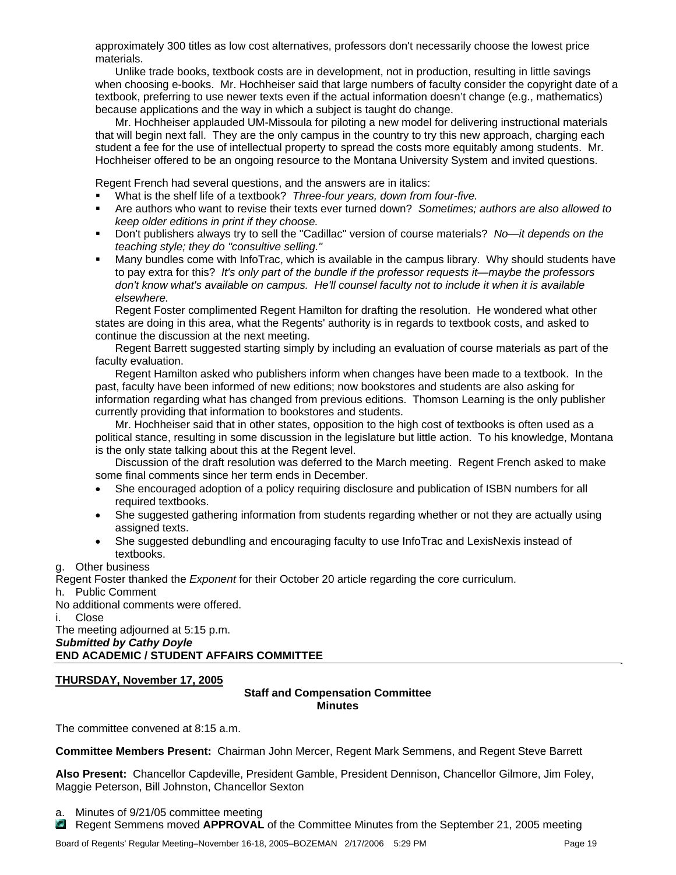approximately 300 titles as low cost alternatives, professors don't necessarily choose the lowest price materials.

Unlike trade books, textbook costs are in development, not in production, resulting in little savings when choosing e-books. Mr. Hochheiser said that large numbers of faculty consider the copyright date of a textbook, preferring to use newer texts even if the actual information doesn't change (e.g., mathematics) because applications and the way in which a subject is taught do change.

Mr. Hochheiser applauded UM-Missoula for piloting a new model for delivering instructional materials that will begin next fall. They are the only campus in the country to try this new approach, charging each student a fee for the use of intellectual property to spread the costs more equitably among students. Mr. Hochheiser offered to be an ongoing resource to the Montana University System and invited questions.

Regent French had several questions, and the answers are in italics:

- What is the shelf life of a textbook? *Three-four years, down from four-five.*
- Are authors who want to revise their texts ever turned down? *Sometimes; authors are also allowed to keep older editions in print if they choose.*
- Don't publishers always try to sell the "Cadillac" version of course materials? *No—it depends on the teaching style; they do "consultive selling."*
- Many bundles come with InfoTrac, which is available in the campus library. Why should students have to pay extra for this? *It's only part of the bundle if the professor requests it—maybe the professors don't know what's available on campus. He'll counsel faculty not to include it when it is available elsewhere.*

Regent Foster complimented Regent Hamilton for drafting the resolution. He wondered what other states are doing in this area, what the Regents' authority is in regards to textbook costs, and asked to continue the discussion at the next meeting.

Regent Barrett suggested starting simply by including an evaluation of course materials as part of the faculty evaluation.

Regent Hamilton asked who publishers inform when changes have been made to a textbook. In the past, faculty have been informed of new editions; now bookstores and students are also asking for information regarding what has changed from previous editions. Thomson Learning is the only publisher currently providing that information to bookstores and students.

Mr. Hochheiser said that in other states, opposition to the high cost of textbooks is often used as a political stance, resulting in some discussion in the legislature but little action. To his knowledge, Montana is the only state talking about this at the Regent level.

Discussion of the draft resolution was deferred to the March meeting. Regent French asked to make some final comments since her term ends in December.

- She encouraged adoption of a policy requiring disclosure and publication of ISBN numbers for all required textbooks.
- She suggested gathering information from students regarding whether or not they are actually using assigned texts.
- She suggested debundling and encouraging faculty to use InfoTrac and LexisNexis instead of textbooks.

g. Other business

Regent Foster thanked the *Exponent* for their October 20 article regarding the core curriculum.

h. Public Comment

No additional comments were offered.

i. Close

The meeting adjourned at 5:15 p.m. *Submitted by Cathy Doyle* 

**END ACADEMIC / STUDENT AFFAIRS COMMITTEE** 

#### **THURSDAY, November 17, 2005**

#### **Staff and Compensation Committee Minutes**

The committee convened at 8:15 a.m.

**Committee Members Present:** Chairman John Mercer, Regent Mark Semmens, and Regent Steve Barrett

**Also Present:** Chancellor Capdeville, President Gamble, President Dennison, Chancellor Gilmore, Jim Foley, Maggie Peterson, Bill Johnston, Chancellor Sexton

a. Minutes of 9/21/05 committee meeting

Regent Semmens moved **APPROVAL** of the Committee Minutes from the September 21, 2005 meeting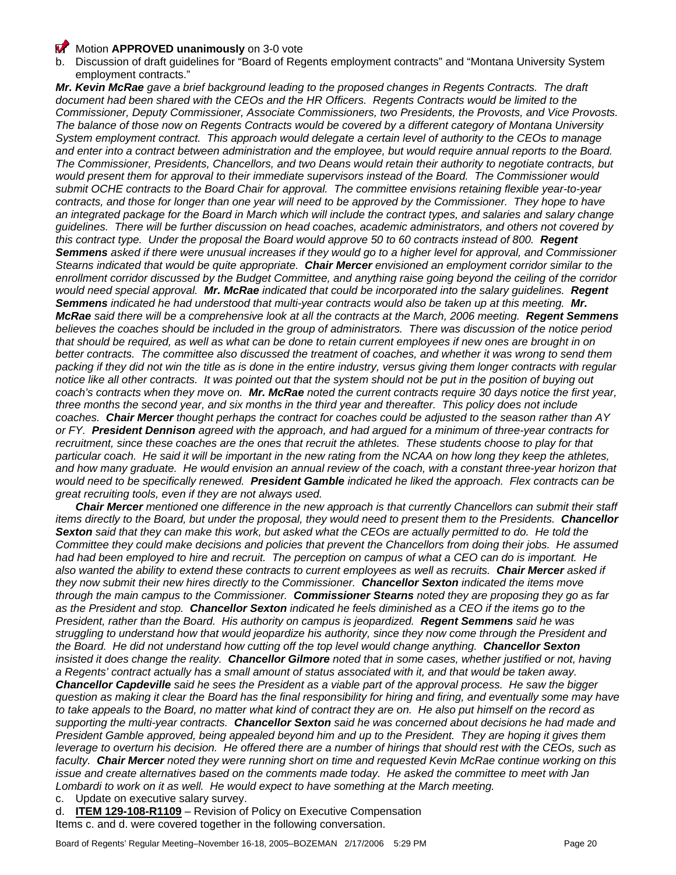#### **Motion APPROVED unanimously** on 3-0 vote

b. Discussion of draft guidelines for "Board of Regents employment contracts" and "Montana University System employment contracts."

*Mr. Kevin McRae gave a brief background leading to the proposed changes in Regents Contracts. The draft*  document had been shared with the CEOs and the HR Officers. Regents Contracts would be limited to the *Commissioner, Deputy Commissioner, Associate Commissioners, two Presidents, the Provosts, and Vice Provosts. The balance of those now on Regents Contracts would be covered by a different category of Montana University System employment contract. This approach would delegate a certain level of authority to the CEOs to manage*  and enter into a contract between administration and the employee, but would require annual reports to the Board. *The Commissioner, Presidents, Chancellors, and two Deans would retain their authority to negotiate contracts, but would present them for approval to their immediate supervisors instead of the Board. The Commissioner would submit OCHE contracts to the Board Chair for approval. The committee envisions retaining flexible year-to-year contracts, and those for longer than one year will need to be approved by the Commissioner. They hope to have an integrated package for the Board in March which will include the contract types, and salaries and salary change guidelines. There will be further discussion on head coaches, academic administrators, and others not covered by this contract type. Under the proposal the Board would approve 50 to 60 contracts instead of 800. Regent Semmens asked if there were unusual increases if they would go to a higher level for approval, and Commissioner Stearns indicated that would be quite appropriate. Chair Mercer envisioned an employment corridor similar to the*  enrollment corridor discussed by the Budget Committee, and anything raise going beyond the ceiling of the corridor *would need special approval. Mr. McRae indicated that could be incorporated into the salary guidelines. Regent Semmens indicated he had understood that multi-year contracts would also be taken up at this meeting. Mr. McRae said there will be a comprehensive look at all the contracts at the March, 2006 meeting. Regent Semmens believes the coaches should be included in the group of administrators. There was discussion of the notice period that should be required, as well as what can be done to retain current employees if new ones are brought in on better contracts. The committee also discussed the treatment of coaches, and whether it was wrong to send them packing if they did not win the title as is done in the entire industry, versus giving them longer contracts with regular*  notice like all other contracts. It was pointed out that the system should not be put in the position of buying out *coach's contracts when they move on. Mr. McRae noted the current contracts require 30 days notice the first year, three months the second year, and six months in the third year and thereafter. This policy does not include coaches. Chair Mercer thought perhaps the contract for coaches could be adjusted to the season rather than AY or FY. President Dennison agreed with the approach, and had argued for a minimum of three-year contracts for recruitment, since these coaches are the ones that recruit the athletes. These students choose to play for that particular coach. He said it will be important in the new rating from the NCAA on how long they keep the athletes,*  and how many graduate. He would envision an annual review of the coach, with a constant three-year horizon that *would need to be specifically renewed. President Gamble indicated he liked the approach. Flex contracts can be great recruiting tools, even if they are not always used.* 

*Chair Mercer mentioned one difference in the new approach is that currently Chancellors can submit their staff items directly to the Board, but under the proposal, they would need to present them to the Presidents. Chancellor*  **Sexton** said that they can make this work, but asked what the CEOs are actually permitted to do. He told the *Committee they could make decisions and policies that prevent the Chancellors from doing their jobs. He assumed had had been employed to hire and recruit. The perception on campus of what a CEO can do is important. He also wanted the ability to extend these contracts to current employees as well as recruits. Chair Mercer asked if they now submit their new hires directly to the Commissioner. Chancellor Sexton indicated the items move through the main campus to the Commissioner. Commissioner Stearns noted they are proposing they go as far as the President and stop. Chancellor Sexton indicated he feels diminished as a CEO if the items go to the President, rather than the Board. His authority on campus is jeopardized. Regent Semmens said he was struggling to understand how that would jeopardize his authority, since they now come through the President and the Board. He did not understand how cutting off the top level would change anything. Chancellor Sexton insisted it does change the reality. Chancellor Gilmore noted that in some cases, whether justified or not, having a Regents' contract actually has a small amount of status associated with it, and that would be taken away. Chancellor Capdeville said he sees the President as a viable part of the approval process. He saw the bigger question as making it clear the Board has the final responsibility for hiring and firing, and eventually some may have to take appeals to the Board, no matter what kind of contract they are on. He also put himself on the record as supporting the multi-year contracts. Chancellor Sexton said he was concerned about decisions he had made and President Gamble approved, being appealed beyond him and up to the President. They are hoping it gives them leverage to overturn his decision. He offered there are a number of hirings that should rest with the CEOs, such as faculty. Chair Mercer noted they were running short on time and requested Kevin McRae continue working on this issue and create alternatives based on the comments made today. He asked the committee to meet with Jan Lombardi to work on it as well. He would expect to have something at the March meeting.* 

c. Update on executive salary survey.

d. **ITEM 129-108-R1109** – Revision of Policy on Executive Compensation Items c. and d. were covered together in the following conversation.